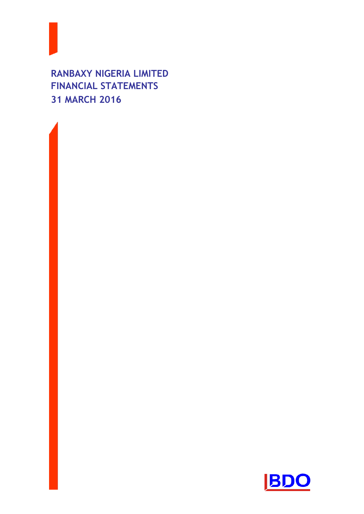**RANBAXY NIGERIA LIMITED FINANCIAL STATEMENTS 31 MARCH 2016**



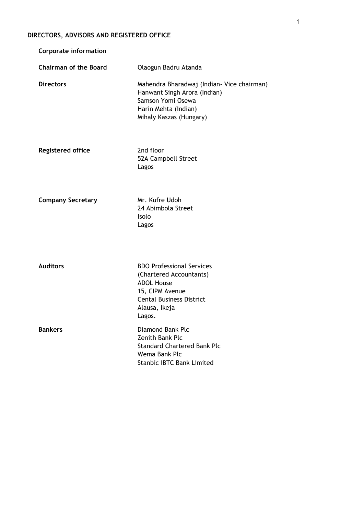# **DIRECTORS, ADVISORS AND REGISTERED OFFICE**

| <b>Corporate information</b> |                                                                                                                                                                   |
|------------------------------|-------------------------------------------------------------------------------------------------------------------------------------------------------------------|
| <b>Chairman of the Board</b> | Olaogun Badru Atanda                                                                                                                                              |
| <b>Directors</b>             | Mahendra Bharadwaj (Indian- Vice chairman)<br>Hanwant Singh Arora (Indian)<br>Samson Yomi Osewa<br>Harin Mehta (Indian)<br>Mihaly Kaszas (Hungary)                |
| <b>Registered office</b>     | 2nd floor<br>52A Campbell Street<br>Lagos                                                                                                                         |
| <b>Company Secretary</b>     | Mr. Kufre Udoh<br>24 Abimbola Street<br>Isolo<br>Lagos                                                                                                            |
| <b>Auditors</b>              | <b>BDO Professional Services</b><br>(Chartered Accountants)<br><b>ADOL House</b><br>15, CIPM Avenue<br><b>Cental Business District</b><br>Alausa, Ikeja<br>Lagos. |
| <b>Bankers</b>               | Diamond Bank Plc<br>Zenith Bank Plc<br><b>Standard Chartered Bank Plc</b><br>Wema Bank Plc<br><b>Stanbic IBTC Bank Limited</b>                                    |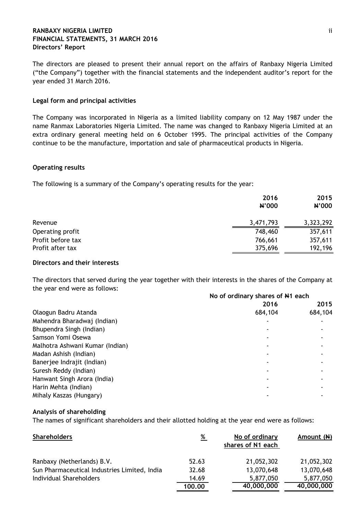## **RANBAXY NIGERIA LIMITED** ii **FINANCIAL STATEMENTS, 31 MARCH 2016 Directors' Report**

The directors are pleased to present their annual report on the affairs of Ranbaxy Nigeria Limited ("the Company") together with the financial statements and the independent auditor"s report for the year ended 31 March 2016.

## **Legal form and principal activities**

The Company was incorporated in Nigeria as a limited liability company on 12 May 1987 under the name Ranmax Laboratories Nigeria Limited. The name was changed to Ranbaxy Nigeria Limited at an extra ordinary general meeting held on 6 October 1995. The principal activities of the Company continue to be the manufacture, importation and sale of pharmaceutical products in Nigeria.

## **Operating results**

The following is a summary of the Company"s operating results for the year:

|                   | 2016<br><b>N'000</b> | 2015<br>N'000 |
|-------------------|----------------------|---------------|
| Revenue           | 3,471,793            | 3,323,292     |
| Operating profit  | 748,460              | 357,611       |
| Profit before tax | 766,661              | 357,611       |
| Profit after tax  | 375,696              | 192,196       |

## **Directors and their interests**

**No of ordinary shares of N1 each**  The directors that served during the year together with their interests in the shares of the Company at the year end were as follows:

| No of ordinary shares of N1 each |         |  |
|----------------------------------|---------|--|
| 2016                             | 2015    |  |
| 684,104                          | 684,104 |  |
|                                  |         |  |
|                                  |         |  |
|                                  |         |  |
|                                  |         |  |
|                                  |         |  |
|                                  |         |  |
|                                  |         |  |
|                                  |         |  |
|                                  |         |  |
|                                  |         |  |
|                                  |         |  |

## **Analysis of shareholding**

The names of significant shareholders and their allotted holding at the year end were as follows:

| <b>Shareholders</b>                          | %      | No of ordinary<br>shares of N1 each | Amount (N) |
|----------------------------------------------|--------|-------------------------------------|------------|
| Ranbaxy (Netherlands) B.V.                   | 52.63  | 21,052,302                          | 21,052,302 |
| Sun Pharmaceutical Industries Limited, India | 32.68  | 13,070,648                          | 13,070,648 |
| Individual Shareholders                      | 14.69  | 5,877,050                           | 5,877,050  |
|                                              | 100.00 | 40,000,000                          | 40,000,000 |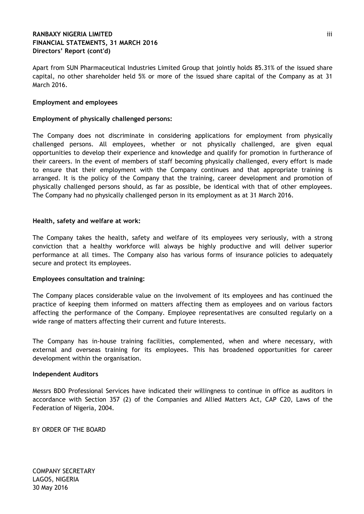## **RANBAXY NIGERIA LIMITED** iii **FINANCIAL STATEMENTS, 31 MARCH 2016 Directors' Report (cont'd)**

Apart from SUN Pharmaceutical Industries Limited Group that jointly holds 85.31% of the issued share capital, no other shareholder held 5% or more of the issued share capital of the Company as at 31 March 2016.

## **Employment and employees**

## **Employment of physically challenged persons:**

The Company does not discriminate in considering applications for employment from physically challenged persons. All employees, whether or not physically challenged, are given equal opportunities to develop their experience and knowledge and qualify for promotion in furtherance of their careers. In the event of members of staff becoming physically challenged, every effort is made to ensure that their employment with the Company continues and that appropriate training is arranged. It is the policy of the Company that the training, career development and promotion of physically challenged persons should, as far as possible, be identical with that of other employees. The Company had no physically challenged person in its employment as at 31 March 2016.

## **Health, safety and welfare at work:**

The Company takes the health, safety and welfare of its employees very seriously, with a strong conviction that a healthy workforce will always be highly productive and will deliver superior performance at all times. The Company also has various forms of insurance policies to adequately secure and protect its employees.

## **Employees consultation and training:**

The Company places considerable value on the involvement of its employees and has continued the practice of keeping them informed on matters affecting them as employees and on various factors affecting the performance of the Company. Employee representatives are consulted regularly on a wide range of matters affecting their current and future interests.

The Company has in-house training facilities, complemented, when and where necessary, with external and overseas training for its employees. This has broadened opportunities for career development within the organisation.

## **Independent Auditors**

Messrs BDO Professional Services have indicated their willingness to continue in office as auditors in accordance with Section 357 (2) of the Companies and Allied Matters Act, CAP C20, Laws of the Federation of Nigeria, 2004.

BY ORDER OF THE BOARD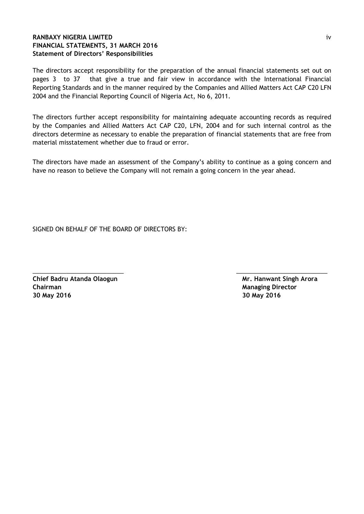## **RANBAXY NIGERIA LIMITED** iv **FINANCIAL STATEMENTS, 31 MARCH 2016 Statement of Directors' Responsibilities**

The directors accept responsibility for the preparation of the annual financial statements set out on pages 3 to 37 that give a true and fair view in accordance with the International Financial Reporting Standards and in the manner required by the Companies and Allied Matters Act CAP C20 LFN 2004 and the Financial Reporting Council of Nigeria Act, No 6, 2011.

The directors further accept responsibility for maintaining adequate accounting records as required by the Companies and Allied Matters Act CAP C20, LFN, 2004 and for such internal control as the directors determine as necessary to enable the preparation of financial statements that are free from material misstatement whether due to fraud or error.

The directors have made an assessment of the Company"s ability to continue as a going concern and have no reason to believe the Company will not remain a going concern in the year ahead.

\_\_\_\_\_\_\_\_\_\_\_\_\_\_\_\_\_\_\_\_\_\_\_\_\_\_\_ \_\_\_\_\_\_\_\_\_\_\_\_\_\_\_\_\_\_\_\_\_\_\_\_\_\_\_

SIGNED ON BEHALF OF THE BOARD OF DIRECTORS BY:

**Chief Badru Atanda Olaogun Nilling School School Arora Arora Arora Arora Arora Arora Arora Arora Arora Arora Arora Arora Arora Arora Arora Arora Arora Arora Arora Arora Arora Arora Arora Arora Arora Arora Arora Arora Aror Chairman** Managing Director **Managing Director Managing Director 30 May 2016 30 May 2016**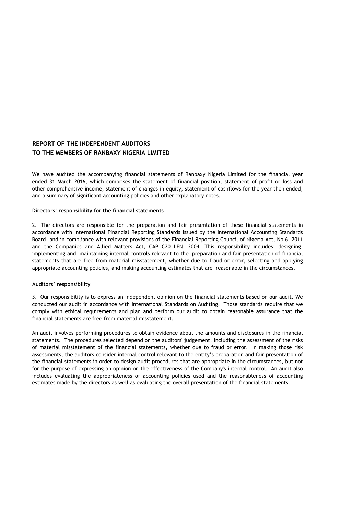## **REPORT OF THE INDEPENDENT AUDITORS TO THE MEMBERS OF RANBAXY NIGERIA LIMITED**

We have audited the accompanying financial statements of Ranbaxy Nigeria Limited for the financial year ended 31 March 2016, which comprises the statement of financial position, statement of profit or loss and other comprehensive income, statement of changes in equity, statement of cashflows for the year then ended, and a summary of significant accounting policies and other explanatory notes.

#### **Directors' responsibility for the financial statements**

2. The directors are responsible for the preparation and fair presentation of these financial statements in accordance with International Financial Reporting Standards issued by the International Accounting Standards Board, and in compliance with relevant provisions of the Financial Reporting Council of Nigeria Act, No 6, 2011 and the Companies and Allied Matters Act, CAP C20 LFN, 2004. This responsibility includes: designing, implementing and maintaining internal controls relevant to the preparation and fair presentation of financial statements that are free from material misstatement, whether due to fraud or error, selecting and applying appropriate accounting policies, and making accounting estimates that are reasonable in the circumstances.

#### **Auditors' responsibility**

3. Our responsibility is to express an independent opinion on the financial statements based on our audit. We conducted our audit in accordance with International Standards on Auditing. Those standards require that we comply with ethical requirements and plan and perform our audit to obtain reasonable assurance that the financial statements are free from material misstatement.

An audit involves performing procedures to obtain evidence about the amounts and disclosures in the financial statements. The procedures selected depend on the auditors' judgement, including the assessment of the risks of material misstatement of the financial statements, whether due to fraud or error. In making those risk assessments, the auditors consider internal control relevant to the entity"s preparation and fair presentation of the financial statements in order to design audit procedures that are appropriate in the circumstances, but not for the purpose of expressing an opinion on the effectiveness of the Company's internal control. An audit also includes evaluating the appropriateness of accounting policies used and the reasonableness of accounting estimates made by the directors as well as evaluating the overall presentation of the financial statements.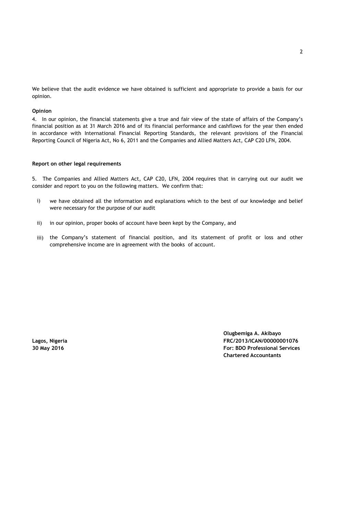We believe that the audit evidence we have obtained is sufficient and appropriate to provide a basis for our opinion.

#### **Opinion**

4. In our opinion, the financial statements give a true and fair view of the state of affairs of the Company"s financial position as at 31 March 2016 and of its financial performance and cashflows for the year then ended in accordance with International Financial Reporting Standards, the relevant provisions of the Financial Reporting Council of Nigeria Act, No 6, 2011 and the Companies and Allied Matters Act, CAP C20 LFN, 2004.

#### **Report on other legal requirements**

5. The Companies and Allied Matters Act, CAP C20, LFN, 2004 requires that in carrying out our audit we consider and report to you on the following matters. We confirm that:

- i) we have obtained all the information and explanations which to the best of our knowledge and belief were necessary for the purpose of our audit
- ii) in our opinion, proper books of account have been kept by the Company, and
- iii) the Company"s statement of financial position, and its statement of profit or loss and other comprehensive income are in agreement with the books of account.

**Olugbemiga A. Akibayo Lagos, Nigeria FRC/2013/ICAN/00000001076 30 May 2016 For: BDO Professional Services Chartered Accountants**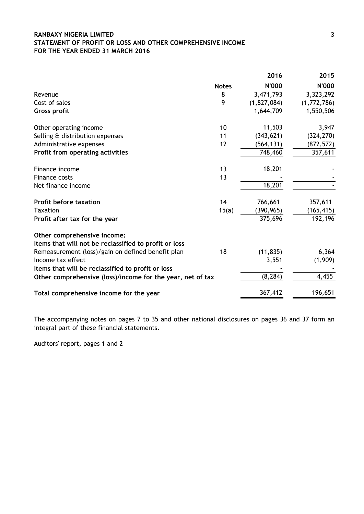## **RANBAXY NIGERIA LIMITED** 3 **STATEMENT OF PROFIT OR LOSS AND OTHER COMPREHENSIVE INCOME FOR THE YEAR ENDED 31 MARCH 2016**

|                                                            |              | 2016         | 2015         |
|------------------------------------------------------------|--------------|--------------|--------------|
|                                                            | <b>Notes</b> | <b>N'000</b> | <b>N'000</b> |
| Revenue                                                    | 8            | 3,471,793    | 3,323,292    |
| Cost of sales                                              | 9            | (1,827,084)  | (1,772,786)  |
| <b>Gross profit</b>                                        |              | 1,644,709    | 1,550,506    |
| Other operating income                                     | 10           | 11,503       | 3,947        |
| Selling & distribution expenses                            | 11           | (343, 621)   | (324, 270)   |
| Administrative expenses                                    | 12           | (564, 131)   | (872, 572)   |
| Profit from operating activities                           |              | 748,460      | 357,611      |
| Finance income                                             | 13           | 18,201       |              |
| <b>Finance costs</b>                                       | 13           |              |              |
| Net finance income                                         |              | 18,201       |              |
| <b>Profit before taxation</b>                              | 14           | 766,661      | 357,611      |
| <b>Taxation</b>                                            | 15(a)        | (390, 965)   | (165, 415)   |
| Profit after tax for the year                              |              | 375,696      | 192,196      |
| Other comprehensive income:                                |              |              |              |
| Items that will not be reclassified to profit or loss      |              |              |              |
| Remeasurement (loss)/gain on defined benefit plan          | 18           | (11, 835)    | 6,364        |
| Income tax effect                                          |              | 3,551        | (1,909)      |
| Items that will be reclassified to profit or loss          |              |              |              |
| Other comprehensive (loss)/income for the year, net of tax |              | (8, 284)     | 4,455        |
| Total comprehensive income for the year                    |              | 367,412      | 196,651      |

The accompanying notes on pages 7 to 35 and other national disclosures on pages 36 and 37 form an integral part of these financial statements.

Auditors' report, pages 1 and 2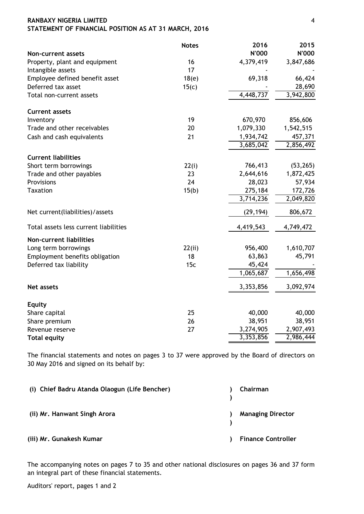| RANBAXY NIGERIA LIMITED                              |  |
|------------------------------------------------------|--|
| STATEMENT OF FINANCIAL POSITION AS AT 31 MARCH, 2016 |  |

|                                       | <b>Notes</b> | 2016                   | 2015      |
|---------------------------------------|--------------|------------------------|-----------|
| <b>Non-current assets</b>             |              | <b>N'000</b>           | N'000     |
| Property, plant and equipment         | 16           | 4,379,419              | 3,847,686 |
| Intangible assets                     | 17           |                        |           |
| Employee defined benefit asset        | 18(e)        | 69,318                 | 66,424    |
| Deferred tax asset                    | 15(c)        |                        | 28,690    |
| Total non-current assets              |              | 4,448,737              | 3,942,800 |
| <b>Current assets</b>                 |              |                        |           |
| Inventory                             | 19           | 670,970                | 856,606   |
| Trade and other receivables           | 20           | 1,079,330              | 1,542,515 |
| Cash and cash equivalents             | 21           | 1,934,742              | 457,371   |
|                                       |              | 3,685,042              | 2,856,492 |
| <b>Current liabilities</b>            |              |                        |           |
| Short term borrowings                 | 22(i)        | 766,413                | (53, 265) |
| Trade and other payables              | 23           | 2,644,616              | 1,872,425 |
| Provisions                            | 24           | 28,023                 | 57,934    |
| <b>Taxation</b>                       | 15(b)        | 275,184                | 172,726   |
|                                       |              | 3,714,236              | 2,049,820 |
| Net current(liabilities)/assets       |              | (29, 194)              | 806,672   |
| Total assets less current liabilities |              | 4,419,543              | 4,749,472 |
| <b>Non-current liabilities</b>        |              |                        |           |
| Long term borrowings                  | 22(ii)       | 956,400                | 1,610,707 |
| Employment benefits obligation        | 18           | 63,863                 | 45,791    |
| Deferred tax liability                | 15c          | 45,424                 |           |
|                                       |              | $\overline{1,065,687}$ | 1,656,498 |
| Net assets                            |              | 3,353,856              | 3,092,974 |
| <b>Equity</b>                         |              |                        |           |
| Share capital                         | 25           | 40,000                 | 40,000    |
| Share premium                         | 26           | 38,951                 | 38,951    |
| Revenue reserve                       | 27           | 3,274,905              | 2,907,493 |
| <b>Total equity</b>                   |              | 3,353,856              | 2,986,444 |

The financial statements and notes on pages 3 to 37 were approved by the Board of directors on 30 May 2016 and signed on its behalf by:

| (i) Chief Badru Atanda Olaogun (Life Bencher) | Chairman                  |
|-----------------------------------------------|---------------------------|
| (ii) Mr. Hanwant Singh Arora                  | <b>Managing Director</b>  |
| (iii) Mr. Gunakesh Kumar                      | <b>Finance Controller</b> |

The accompanying notes on pages 7 to 35 and other national disclosures on pages 36 and 37 form an integral part of these financial statements.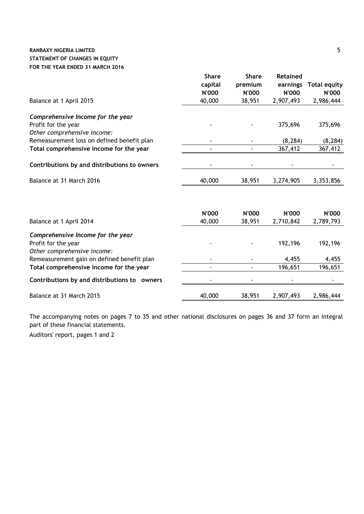## **RANBAXY NIGERIA LIMITED** 5 **STATEMENT OF CHANGES IN EQUITY FOR THE YEAR ENDED 31 MARCH 2016**

|                                              | <b>Share</b>            | <b>Share</b>     | <b>Retained</b>          |                              |
|----------------------------------------------|-------------------------|------------------|--------------------------|------------------------------|
|                                              | capital<br><b>N'000</b> | premium<br>N'000 | earnings<br><b>N'000</b> | <b>Total equity</b><br>N'000 |
| Balance at 1 April 2015                      | 40,000                  | 38,951           | 2,907,493                | 2,986,444                    |
| Comprehensive Income for the year            |                         |                  |                          |                              |
| Profit for the year                          |                         |                  | 375,696                  | 375,696                      |
| Other comprehensive income:                  |                         |                  |                          |                              |
| Remeasurement loss on defined benefit plan   |                         |                  | (8, 284)                 | (8, 284)                     |
| Total comprehensive income for the year      |                         |                  | 367,412                  | 367,412                      |
| Contributions by and distributions to owners |                         |                  |                          |                              |
| Balance at 31 March 2016                     | 40,000                  | 38,951           | 3,274,905                | 3,353,856                    |
|                                              | <b>N'000</b>            | <b>N'000</b>     | <b>N'000</b>             | N'000                        |
| Balance at 1 April 2014                      | 40,000                  | 38,951           | 2,710,842                | 2,789,793                    |
| Comprehensive Income for the year            |                         |                  |                          |                              |
| Profit for the year                          |                         |                  | 192,196                  | 192,196                      |
| Other comprehensive income:                  |                         |                  |                          |                              |
| Remeasurement gain on defined benefit plan   |                         |                  | 4,455                    | 4,455                        |
| Total comprehensive income for the year      |                         |                  | 196,651                  | 196,651                      |
| Contributions by and distributions to owners |                         |                  |                          |                              |
| Balance at 31 March 2015                     | 40,000                  | 38,951           | 2,907,493                | 2,986,444                    |

The accompanying notes on pages 7 to 35 and other national disclosures on pages 36 and 37 form an integral part of these financial statements.

Auditors' report, pages 1 and 2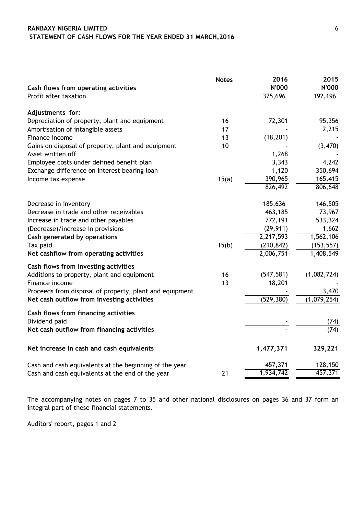## **RANBAXY NIGERIA LIMITED** 6  **STATEMENT OF CASH FLOWS FOR THE YEAR ENDED 31 MARCH,2016**

| Cash flows from operating activities<br>Profit after taxation | <b>Notes</b> | 2016<br><b>N'000</b><br>375,696 | 2015<br>N'000<br>192,196 |
|---------------------------------------------------------------|--------------|---------------------------------|--------------------------|
| Adjustments for:                                              |              |                                 |                          |
| Depreciation of property, plant and equipment                 | 16           | 72,301                          | 95,356                   |
| Amortisation of intangible assets                             | 17           |                                 | 2,215                    |
| Finance income                                                | 13           | (18, 201)                       |                          |
| Gains on disposal of property, plant and equipment            | 10           |                                 | (3,470)                  |
| Asset written off                                             |              | 1,268                           |                          |
| Employee costs under defined benefit plan                     |              | 3,343                           | 4,242                    |
| Exchange difference on interest bearing loan                  |              | 1,120                           | 350,694                  |
| Income tax expense                                            | 15(a)        | 390,965                         | 165,415                  |
|                                                               |              | 826,492                         | 806,648                  |
| Decrease in inventory                                         |              | 185,636                         | 146,505                  |
| Decrease in trade and other receivables                       |              | 463,185                         | 73,967                   |
| Increase in trade and other payables                          |              | 772,191                         | 533,324                  |
| (Decrease)/increase in provisions                             |              | (29, 911)                       | 1,662                    |
| Cash generated by operations                                  |              | 2,217,593                       | 1,562,106                |
| Tax paid                                                      | 15(b)        | (210, 842)                      | (153, 557)               |
| Net cashflow from operating activities                        |              | 2,006,751                       | 1,408,549                |
| Cash flows from investing activities                          |              |                                 |                          |
| Additions to property, plant and equipment                    | 16           | (547, 581)                      | (1,082,724)              |
| Finance income                                                | 13           | 18,201                          |                          |
| Proceeds from disposal of property, plant and equipment       |              |                                 | 3,470                    |
| Net cash outflow from investing activities                    |              | (529, 380)                      | (1,079,254)              |
| Cash flows from financing activities                          |              |                                 |                          |
| Dividend paid                                                 |              |                                 | (74)                     |
| Net cash outflow from financing activities                    |              |                                 | (74)                     |
| Net increase in cash and cash equivalents                     |              | 1,477,371                       | 329,221                  |
| Cash and cash equivalents at the beginning of the year        |              | 457,371                         | 128,150                  |
| Cash and cash equivalents at the end of the year              | 21           | 1,934,742                       | 457,371                  |

The accompanying notes on pages 7 to 35 and other national disclosures on pages 36 and 37 form an integral part of these financial statements.

Auditors' report, pages 1 and 2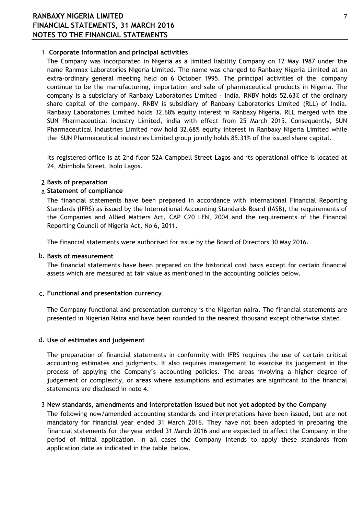# **RANBAXY NIGERIA LIMITED** 7 **FINANCIAL STATEMENTS, 31 MARCH 2016 NOTES TO THE FINANCIAL STATEMENTS**

## 1 **Corporate information and principal activities**

The Company was incorporated in Nigeria as a limited liability Company on 12 May 1987 under the name Ranmax Laboratories Nigeria Limited. The name was changed to Ranbaxy Nigeria Limited at an extra-ordinary general meeting held on 6 October 1995. The principal activities of the company continue to be the manufacturing, importation and sale of pharmaceutical products in Nigeria. The company is a subsidiary of Ranbaxy Laboratories Limited - India. RNBV holds 52.63% of the ordinary share capital of the company. RNBV is subsidiary of Ranbaxy Laboratories Limited (RLL) of India. Ranbaxy Laboratories Limited holds 32.68% equity interest in Ranbaxy Nigeria. RLL merged with the SUN Pharmaceutical Industry Limited, india with effect from 25 March 2015. Consequently, SUN Pharmaceutical Industries Limited now hold 32.68% equity interest in Ranbaxy Nigeria Limited while the SUN Pharmaceutical industries Limited group jointly holds 85.31% of the issued share capital.

Its registered office is at 2nd floor 52A Campbell Street Lagos and its operational office is located at 24, Abimbola Street, Isolo Lagos.

## 2 **Basis of preparation**

## a **Statement of compliance**

The financial statements have been prepared in accordance with International Financial Reporting Standards (IFRS) as issued by the International Accounting Standards Board (IASB), the requirements of the Companies and Allied Matters Act, CAP C20 LFN, 2004 and the requirements of the Financal Reporting Council of Nigeria Act, No 6, 2011.

The financial statements were authorised for issue by the Board of Directors 30 May 2016.

## b. **Basis of measurement**

The financial statements have been prepared on the historical cost basis except for certain financial assets which are measured at fair value as mentioned in the accounting policies below.

## c. **Functional and presentation currency**

The Company functional and presentation currency is the Nigerian naira. The financial statements are presented in Nigerian Naira and have been rounded to the nearest thousand except otherwise stated.

## d. **Use of estimates and judgement**

The preparation of financial statements in conformity with IFRS requires the use of certain critical accounting estimates and judgments. It also requires management to exercise its judgement in the process of applying the Company"s accounting policies. The areas involving a higher degree of judgement or complexity, or areas where assumptions and estimates are significant to the financial statements are disclosed in note 4.

## 3 **New standards, amendments and interpretation issued but not yet adopted by the Company**

The following new/amended accounting standards and interpretations have been issued, but are not mandatory for financial year ended 31 March 2016. They have not been adopted in preparing the financial statements for the year ended 31 March 2016 and are expected to affect the Company in the period of initial application. In all cases the Company intends to apply these standards from application date as indicated in the table below.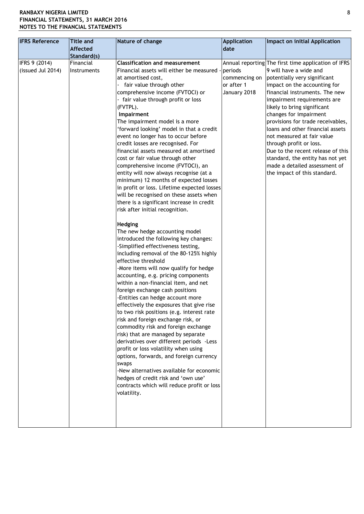| <b>IFRS Reference</b>              | <b>Title and</b><br>Affected | Nature of change                                                                                                                                                                                                                                                                                                                                                                                                                                                                                                                                                                                                                                                                                                                                                                                                                                                                                                                                                                                                                                                                                                                                                                                                                                                                                                                                                                                                                                                                                                                                                                    | <b>Application</b><br>date                             | Impact on initial Application                                                                                                                                                                                                                                                                                                                                                                                                                                                                                                                       |
|------------------------------------|------------------------------|-------------------------------------------------------------------------------------------------------------------------------------------------------------------------------------------------------------------------------------------------------------------------------------------------------------------------------------------------------------------------------------------------------------------------------------------------------------------------------------------------------------------------------------------------------------------------------------------------------------------------------------------------------------------------------------------------------------------------------------------------------------------------------------------------------------------------------------------------------------------------------------------------------------------------------------------------------------------------------------------------------------------------------------------------------------------------------------------------------------------------------------------------------------------------------------------------------------------------------------------------------------------------------------------------------------------------------------------------------------------------------------------------------------------------------------------------------------------------------------------------------------------------------------------------------------------------------------|--------------------------------------------------------|-----------------------------------------------------------------------------------------------------------------------------------------------------------------------------------------------------------------------------------------------------------------------------------------------------------------------------------------------------------------------------------------------------------------------------------------------------------------------------------------------------------------------------------------------------|
|                                    | Standard(s)                  |                                                                                                                                                                                                                                                                                                                                                                                                                                                                                                                                                                                                                                                                                                                                                                                                                                                                                                                                                                                                                                                                                                                                                                                                                                                                                                                                                                                                                                                                                                                                                                                     |                                                        |                                                                                                                                                                                                                                                                                                                                                                                                                                                                                                                                                     |
| IFRS 9 (2014)<br>(issued Jul 2014) | Financial<br>Instruments     | <b>Classification and measurement</b><br>Financial assets will either be measured<br>at amortised cost,<br>- fair value through other<br>comprehensive income (FVTOCI) or<br>- fair value through profit or loss<br>(FVTPL).<br>Impairment<br>The impairment model is a more<br>'forward looking' model in that a credit<br>event no longer has to occur before<br>credit losses are recognised. For<br>financial assets measured at amortised<br>cost or fair value through other<br>comprehensive income (FVTOCI), an<br>entity will now always recognise (at a<br>minimum) 12 months of expected losses<br>in profit or loss. Lifetime expected losses<br>will be recognised on these assets when<br>there is a significant increase in credit<br>risk after initial recognition.<br>Hedging<br>The new hedge accounting model<br>introduced the following key changes:<br>-Simplified effectiveness testing,<br>including removal of the 80-125% highly<br>effective threshold<br>-More items will now qualify for hedge<br>accounting, e.g. pricing components<br>within a non-financial item, and net<br>foreign exchange cash positions<br>-Entities can hedge account more<br>effectively the exposures that give rise<br>to two risk positions (e.g. interest rate<br>risk and foreign exchange risk, or<br>commodity risk and foreign exchange<br>risk) that are managed by separate<br>derivatives over different periods - Less<br>profit or loss volatility when using<br>options, forwards, and foreign currency<br>swaps<br>-New alternatives available for economic | periods<br>commencing on<br>or after 1<br>January 2018 | Annual reporting The first time application of IFRS<br>9 will have a wide and<br>potentially very significant<br>impact on the accounting for<br>financial instruments. The new<br>impairment requirements are<br>likely to bring significant<br>changes for impairment<br>provisions for trade receivables,<br>loans and other financial assets<br>not measured at fair value<br>through profit or loss.<br>Due to the recent release of this<br>standard, the entity has not yet<br>made a detailed assessment of<br>the impact of this standard. |
|                                    |                              | hedges of credit risk and 'own use'<br>contracts which will reduce profit or loss<br>volatility.                                                                                                                                                                                                                                                                                                                                                                                                                                                                                                                                                                                                                                                                                                                                                                                                                                                                                                                                                                                                                                                                                                                                                                                                                                                                                                                                                                                                                                                                                    |                                                        |                                                                                                                                                                                                                                                                                                                                                                                                                                                                                                                                                     |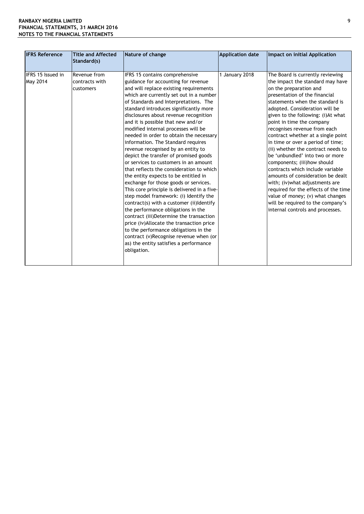| <b>IFRS Reference</b>                | <b>Title and Affected</b><br>Standard(s)    | Nature of change                                                                                                                                                                                                                                                                                                                                                                                                                                                                                                                                                                                                                                                                                                                                                                                                                                                                                                                                                                                                                                                                                                         | <b>Application date</b> | Impact on initial Application                                                                                                                                                                                                                                                                                                                                                                                                                                                                                                                                                                                                                                                                                                                               |
|--------------------------------------|---------------------------------------------|--------------------------------------------------------------------------------------------------------------------------------------------------------------------------------------------------------------------------------------------------------------------------------------------------------------------------------------------------------------------------------------------------------------------------------------------------------------------------------------------------------------------------------------------------------------------------------------------------------------------------------------------------------------------------------------------------------------------------------------------------------------------------------------------------------------------------------------------------------------------------------------------------------------------------------------------------------------------------------------------------------------------------------------------------------------------------------------------------------------------------|-------------------------|-------------------------------------------------------------------------------------------------------------------------------------------------------------------------------------------------------------------------------------------------------------------------------------------------------------------------------------------------------------------------------------------------------------------------------------------------------------------------------------------------------------------------------------------------------------------------------------------------------------------------------------------------------------------------------------------------------------------------------------------------------------|
| IFRS 15 Issued in<br><b>May 2014</b> | Revenue from<br>contracts with<br>customers | IFRS 15 contains comprehensive<br>guidance for accounting for revenue<br>and will replace existing requirements<br>which are currently set out in a number<br>of Standards and Interpretations. The<br>standard introduces significantly more<br>disclosures about revenue recognition<br>and it is possible that new and/or<br>modified internal processes will be<br>needed in order to obtain the necessary<br>information. The Standard requires<br>revenue recognised by an entity to<br>depict the transfer of promised goods<br>or services to customers in an amount<br>that reflects the consideration to which<br>the entity expects to be entitled in<br>exchange for those goods or services.<br>This core principle is delivered in a five-<br>step model framework: (i) Identify the<br>contract(s) with a customer (ii) Identify<br>the performance obligations in the<br>contract (iii)Determine the transaction<br>price (iv)Allocate the transaction price<br>to the performance obligations in the<br>contract (v)Recognise revenue when (or<br>as) the entity satisfies a performance<br>obligation. | 1 January 2018          | The Board is currently reviewing<br>the impact the standard may have<br>on the preparation and<br>presentation of the financial<br>statements when the standard is<br>adopted. Consideration will be<br>given to the following: (i)At what<br>point in time the company<br>recognises revenue from each<br>contract whether at a single point<br>in time or over a period of time;<br>(ii) whether the contract needs to<br>be 'unbundled' into two or more<br>components; (iii)how should<br>contracts which include variable<br>amounts of consideration be dealt<br>with; (iv) what adjustments are<br>required for the effects of the time<br>value of money; (v) what changes<br>will be required to the company's<br>internal controls and processes. |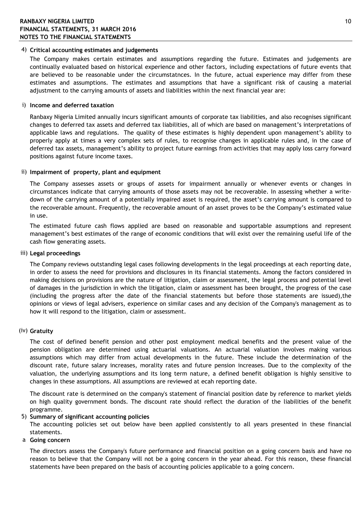## 4) **Critical accounting estimates and judgements**

The Company makes certain estimates and assumptions regarding the future. Estimates and judgements are continually evaluated based on historical experience and other factors, including expectations of future events that are believed to be reasonable under the circumstatnces. In the future, actual experience may differ from these estimates and assumptions. The estimates and assumptions that have a significant risk of causing a material adjustment to the carrying amounts of assets and liabilities within the next financial year are:

#### i) **Income and deferred taxation**

Ranbaxy Nigeria Limited annually incurs significant amounts of corporate tax liabilities, and also recognises significant changes to deferred tax assets and deferred tax liabilities, all of which are based on management"s interpretations of applicable laws and regulations. The quality of these estimates is highly dependent upon management"s ability to properly apply at times a very complex sets of rules, to recognise changes in applicable rules and, in the case of deferred tax assets, management's ability to project future earnings from activities that may apply loss carry forward positions against future income taxes.

#### ii) **Impairment of property, plant and equipment**

The Company assesses assets or groups of assets for impairment annually or whenever events or changes in circumstances indicate that carrying amounts of those assets may not be recoverable. In assessing whether a writedown of the carrying amount of a potentially impaired asset is required, the asset"s carrying amount is compared to the recoverable amount. Frequently, the recoverable amount of an asset proves to be the Company"s estimated value in use.

The estimated future cash flows applied are based on reasonable and supportable assumptions and represent management"s best estimates of the range of economic conditions that will exist over the remaining useful life of the cash flow generating assets.

#### iii) **Legal proceedings**

The Company reviews outstanding legal cases following developments in the legal proceedings at each reporting date, in order to assess the need for provisions and disclosures in its financial statements. Among the factors considered in making decisions on provisions are the nature of litigation, claim or assessment, the legal process and potential level of damages in the jurisdiction in which the litigation, claim or assessment has been brought, the progress of the case (including the progress after the date of the financial statements but before those statements are issued),the opinions or views of legal advisers, experience on similar cases and any decision of the Company's management as to how it will respond to the litigation, claim or assessment.

## (iv) **Gratuity**

The cost of defined benefit pension and other post employment medical benefits and the present value of the pension obligation are determined using actuarial valuations. An actuarial valuation involves making various assumptions which may differ from actual developments in the future. These include the determination of the discount rate, future salary increases, morality rates and future pension increases. Due to the complexity of the valuation, the underlying assumptions and its long term nature, a defined benefit obligation is highly sensitive to changes in these assumptions. All assumptions are reviewed at ecah reporting date.

The discount rate is determined on the company's statement of financial position date by reference to market yields on high quality government bonds. The discount rate should reflect the duration of the liabilities of the benefit programme.

#### 5) **Summary of significant accounting policies**

The accounting policies set out below have been applied consistently to all years presented in these financial statements.

a **Going concern**

The directors assess the Company's future performance and financial position on a going concern basis and have no reason to believe that the Company will not be a going concern in the year ahead. For this reason, these financial statements have been prepared on the basis of accounting policies applicable to a going concern.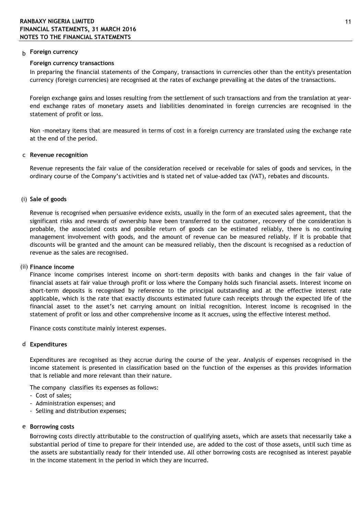## b **Foreign currency**

### **Foreign currency transactions**

In preparing the financial statements of the Company, transactions in currencies other than the entity's presentation currency (foreign currencies) are recognised at the rates of exchange prevailing at the dates of the transactions.

Foreign exchange gains and losses resulting from the settlement of such transactions and from the translation at yearend exchange rates of monetary assets and liabilities denominated in foreign currencies are recognised in the statement of profit or loss.

Non -monetary items that are measured in terms of cost in a foreign currency are translated using the exchange rate at the end of the period.

### c **Revenue recognition**

Revenue represents the fair value of the consideration received or receivable for sales of goods and services, in the ordinary course of the Company"s activities and is stated net of value-added tax (VAT), rebates and discounts.

### (i) **Sale of goods**

Revenue is recognised when persuasive evidence exists, usually in the form of an executed sales agreement, that the significant risks and rewards of ownership have been transferred to the customer, recovery of the consideration is probable, the associated costs and possible return of goods can be estimated reliably, there is no continuing management involvement with goods, and the amount of revenue can be measured reliably. If it is probable that discounts will be granted and the amount can be measured reliably, then the discount is recognised as a reduction of revenue as the sales are recognised.

## (ii) **Finance income**

Finance income comprises interest income on short-term deposits with banks and changes in the fair value of financial assets at fair value through profit or loss where the Company holds such financial assets. Interest income on short-term deposits is recognised by reference to the principal outstanding and at the effective interest rate applicable, which is the rate that exactly discounts estimated future cash receipts through the expected life of the financial asset to the asset"s net carrying amount on initial recognition. Interest income is recognised in the statement of profit or loss and other comprehensive income as it accrues, using the effective interest method.

Finance costs constitute mainly interest expenses.

#### d **Expenditures**

Expenditures are recognised as they accrue during the course of the year. Analysis of expenses recognised in the income statement is presented in classification based on the function of the expenses as this provides information that is reliable and more relevant than their nature.

The company classifies its expenses as follows:

- Cost of sales;
- Administration expenses; and
- Selling and distribution expenses;

#### e **Borrowing costs**

Borrowing costs directly attributable to the construction of qualifying assets, which are assets that necessarily take a substantial period of time to prepare for their intended use, are added to the cost of those assets, until such time as the assets are substantially ready for their intended use. All other borrowing costs are recognised as interest payable in the income statement in the period in which they are incurred.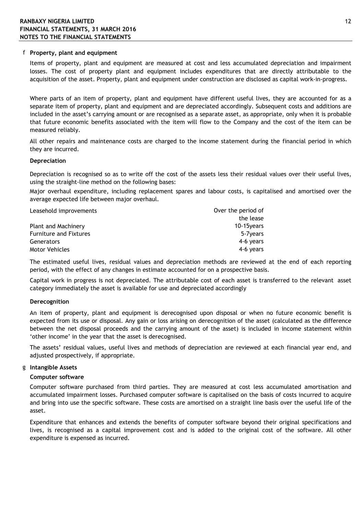#### f **Property, plant and equipment**

Items of property, plant and equipment are measured at cost and less accumulated depreciation and impairment losses. The cost of property plant and equipment includes expenditures that are directly attributable to the acquisition of the asset. Property, plant and equipment under construction are disclosed as capital work-in-progress.

Where parts of an item of property, plant and equipment have different useful lives, they are accounted for as a separate item of property, plant and equipment and are depreciated accordingly. Subsequent costs and additions are included in the asset's carrying amount or are recognised as a separate asset, as appropriate, only when it is probable that future economic benefits associated with the item will flow to the Company and the cost of the item can be measured reliably.

All other repairs and maintenance costs are charged to the income statement during the financial period in which they are incurred.

#### **Depreciation**

Depreciation is recognised so as to write off the cost of the assets less their residual values over their useful lives, using the straight-line method on the following bases:

Major overhaul expenditure, including replacement spares and labour costs, is capitalised and amortised over the average expected life between major overhaul.

| Leasehold improvements        | Over the period of |
|-------------------------------|--------------------|
|                               | the lease          |
| Plant and Machinery           | 10-15 vears        |
| <b>Furniture and Fixtures</b> | 5-7 vears          |
| Generators                    | 4-6 years          |
| <b>Motor Vehicles</b>         | 4-6 years          |

The estimated useful lives, residual values and depreciation methods are reviewed at the end of each reporting period, with the effect of any changes in estimate accounted for on a prospective basis.

Capital work in progress is not depreciated. The attributable cost of each asset is transferred to the relevant asset category immediately the asset is available for use and depreciated accordingly

#### **Derecognition**

An item of property, plant and equipment is derecognised upon disposal or when no future economic benefit is expected from its use or disposal. Any gain or loss arising on derecognition of the asset (calculated as the difference between the net disposal proceeds and the carrying amount of the asset) is included in income statement within 'other income' in the year that the asset is derecognised.

The assets' residual values, useful lives and methods of depreciation are reviewed at each financial year end, and adjusted prospectively, if appropriate.

#### g **Intangible Assets**

#### **Computer software**

Computer software purchased from third parties. They are measured at cost less accumulated amortisation and accumulated impairment losses. Purchased computer software is capitalised on the basis of costs incurred to acquire and bring into use the specific software. These costs are amortised on a straight line basis over the useful life of the asset.

Expenditure that enhances and extends the benefits of computer software beyond their original specifications and lives, is recognised as a capital improvement cost and is added to the original cost of the software. All other expenditure is expensed as incurred.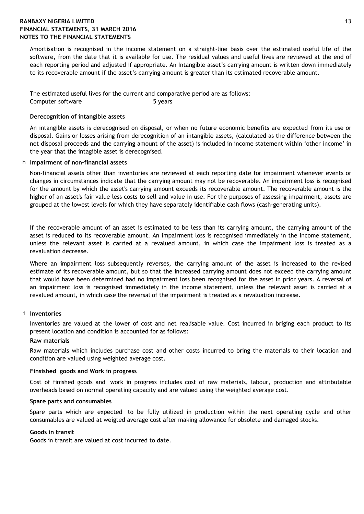## **RANBAXY NIGERIA LIMITED** 13 **FINANCIAL STATEMENTS, 31 MARCH 2016 NOTES TO THE FINANCIAL STATEMENTS**

Amortisation is recognised in the income statement on a straight-line basis over the estimated useful life of the software, from the date that it is available for use. The residual values and useful lives are reviewed at the end of each reporting period and adjusted if appropriate. An Intangible asset's carrying amount is written down immediately to its recoverable amount if the asset's carrying amount is greater than its estimated recoverable amount.

The estimated useful lives for the current and comparative period are as follows: Computer software 5 years

### **Derecognition of intangible assets**

An intangible assets is derecognised on disposal, or when no future economic benefits are expected from its use or disposal. Gains or losses arising from derecognition of an intangible assets, (calculated as the difference between the net disposal proceeds and the carrying amount of the asset) is included in income statement within "other income" in the year that the intagible asset is derecognised.

### h **Impairment of non-financial assets**

Non-financial assets other than inventories are reviewed at each reporting date for impairment whenever events or changes in circumstances indicate that the carrying amount may not be recoverable. An impairment loss is recognised for the amount by which the asset's carrying amount exceeds its recoverable amount. The recoverable amount is the higher of an asset's fair value less costs to sell and value in use. For the purposes of assessing impairment, assets are grouped at the lowest levels for which they have separately identifiable cash flows (cash-generating units).

If the recoverable amount of an asset is estimated to be less than its carrying amount, the carrying amount of the asset is reduced to its recoverable amount. An impairment loss is recognised immediately in the income statement, unless the relevant asset is carried at a revalued amount, in which case the impairment loss is treated as a revaluation decrease.

Where an impairment loss subsequently reverses, the carrying amount of the asset is increased to the revised estimate of its recoverable amount, but so that the increased carrying amount does not exceed the carrying amount that would have been determined had no impairment loss been recognised for the asset in prior years. A reversal of an impairment loss is recognised immediately in the income statement, unless the relevant asset is carried at a revalued amount, in which case the reversal of the impairment is treated as a revaluation increase.

#### i **Inventories**

Inventories are valued at the lower of cost and net realisable value. Cost incurred in briging each product to its present location and condition is accounted for as follows:

#### **Raw materials**

Raw materials which includes purchase cost and other costs incurred to bring the materials to their location and condition are valued using weighted average cost.

#### **Finsished goods and Work in progress**

Cost of finished goods and work in progress includes cost of raw materials, labour, production and attributable overheads based on normal operating capacity and are valued using the weighted average cost.

#### **Spare parts and consumables**

Spare parts which are expected to be fully utilized in production within the next operating cycle and other consumables are valued at weigted average cost after making allowance for obsolete and damaged stocks.

## **Goods in transit**

Goods in transit are valued at cost incurred to date.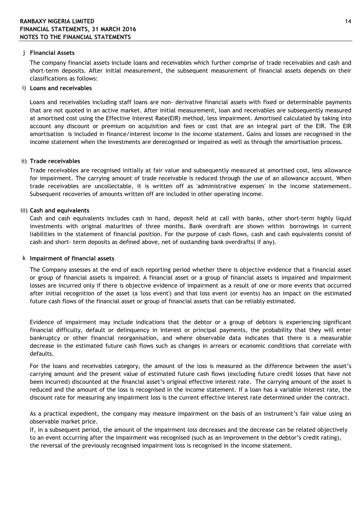### j **Financial Assets**

The company financial assets include loans and receivables which further comprise of trade receivables and cash and short-term deposits. After initial measurement, the subsequent measurement of financial assets depends on their classifications as follows:

### i) **Loans and receivables**

Loans and receivables including staff loans are non- derivative financial assets with fixed or determinable payments that are not quoted in an active market. After initial measurement, loan and receivables are subsequently measured at amortised cost using the Effective Interest Rate(EIR) method, less impairment. Amortised calculated by taking into account any discount or premium on acquisition and fees or cost that are an integral part of the EIR. The EIR amortisation is included in finance/interest income in the income statement. Gains and losses are recognised in the income statement when the investments are derecognised or impaired as well as through the amortisation process.

### ii) **Trade receivables**

Trade receivables are recognised initially at fair value and subsequently measured at amortised cost, less allowance for impairment. The carrying amount of trade receivable is reduced through the use of an allowance account. When trade receivables are uncollectable, it is written off as 'administrative expenses' in the income statemement. Subsequent recoveries of amounts written off are included in other operating income.

### iii) **Cash and equivalents**

Cash and cash equivalents includes cash in hand, deposit held at call with banks, other short-term highly liquid investments with original maturities of three months. Bank overdraft are shown within borrowings in current liabilities in the statement of financial position. For the purpose of cash flows, cash and cash equivalents consist of cash and short- term deposits as defined above, net of oustanding bank overdrafts( if any).

#### k **Impairment of financial assets**

The Company assesses at the end of each reporting period whether there is objective evidence that a financial asset or group of financial assets is impaired. A financial asset or a group of financial assets is impaired and impairment losses are incurred only if there is objective evidence of impairment as a result of one or more events that occurred after initial recognition of the asset (a 'loss event') and that loss event (or events) has an impact on the estimated future cash flows of the financial asset or group of financial assets that can be reliably estimated.

Evidence of impairment may include indications that the debtor or a group of debtors is experiencing significant financial difficulty, default or delinquency in interest or principal payments, the probability that they will enter bankruptcy or other financial reorganisation, and where observable data indicates that there is a measurable decrease in the estimated future cash flows such as changes in arrears or economic conditions that correlate with defaults.

For the loans and receivables category, the amount of the loss is measured as the difference between the asset's carrying amount and the present value of estimated future cash flows (excluding future credit losses that have not been incurred) discounted at the financial asset"s original effective interest rate. The carrying amount of the asset is reduced and the amount of the loss is recognised in the income statement. If a loan has a variable interest rate, the discount rate for measuring any impairment loss is the current effective interest rate determined under the contract.

As a practical expedient, the company may measure impairment on the basis of an instrument's fair value using an observable market price.

If, in a subsequent period, the amount of the impairment loss decreases and the decrease can be related objectively to an event occurring after the impairment was recognised (such as an improvement in the debtor"s credit rating), the reversal of the previously recognised impairment loss is recognised in the income statement.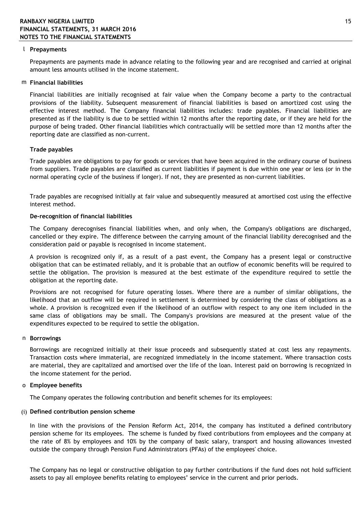#### l **Prepayments**

Prepayments are payments made in advance relating to the following year and are recognised and carried at original amount less amounts utilised in the income statement.

### m **Financial liabilities**

Financial liabilities are initially recognised at fair value when the Company become a party to the contractual provisions of the liability. Subsequent measurement of financial liabilities is based on amortized cost using the effective interest method. The Company financial liabilities includes: trade payables. Financial liabilities are presented as if the liability is due to be settled within 12 months after the reporting date, or if they are held for the purpose of being traded. Other financial liabilities which contractually will be settled more than 12 months after the reporting date are classified as non-current.

### **Trade payables**

Trade payables are obligations to pay for goods or services that have been acquired in the ordinary course of business from suppliers. Trade payables are classified as current liabilities if payment is due within one year or less (or in the normal operating cycle of the business if longer). If not, they are presented as non-current liabilities.

Trade payables are recognised initially at fair value and subsequently measured at amortised cost using the effective interest method.

### **De-recognition of financial liabilities**

The Company derecognises financial liabilities when, and only when, the Company's obligations are discharged, cancelled or they expire. The difference between the carrying amount of the financial liability derecognised and the consideration paid or payable is recognised in income statement.

A provision is recognized only if, as a result of a past event, the Company has a present legal or constructive obligation that can be estimated reliably, and it is probable that an outflow of economic benefits will be required to settle the obligation. The provision is measured at the best estimate of the expenditure required to settle the obligation at the reporting date.

Provisions are not recognised for future operating losses. Where there are a number of similar obligations, the likelihood that an outflow will be required in settlement is determined by considering the class of obligations as a whole. A provision is recognized even if the likelihood of an outflow with respect to any one item included in the same class of obligations may be small. The Company's provisions are measured at the present value of the expenditures expected to be required to settle the obligation.

#### n **Borrowings**

Borrowings are recognized initially at their issue proceeds and subsequently stated at cost less any repayments. Transaction costs where immaterial, are recognized immediately in the income statement. Where transaction costs are material, they are capitalized and amortised over the life of the loan. Interest paid on borrowing is recognized in the income statement for the period.

#### o **Employee benefits**

The Company operates the following contribution and benefit schemes for its employees:

#### (i) **Defined contribution pension scheme**

In line with the provisions of the Pension Reform Act, 2014, the company has instituted a defined contributory pension scheme for its employees. The scheme is funded by fixed contributions from employees and the company at the rate of 8% by employees and 10% by the company of basic salary, transport and housing allowances invested outside the company through Pension Fund Administrators (PFAs) of the employees' choice.

The Company has no legal or constructive obligation to pay further contributions if the fund does not hold sufficient assets to pay all employee benefits relating to employees' service in the current and prior periods.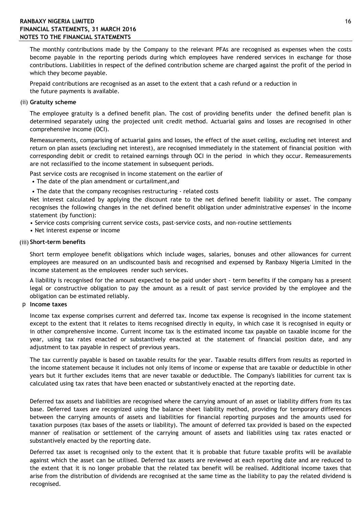## **RANBAXY NIGERIA LIMITED** 16 **FINANCIAL STATEMENTS, 31 MARCH 2016 NOTES TO THE FINANCIAL STATEMENTS**

The monthly contributions made by the Company to the relevant PFAs are recognised as expenses when the costs become payable in the reporting periods during which employees have rendered services in exchange for those contributions. Liabilities in respect of the defined contribution scheme are charged against the profit of the period in which they become payable.

Prepaid contributions are recognised as an asset to the extent that a cash refund or a reduction in the future payments is available.

### (ii) **Gratuity scheme**

The employee gratuity is a defined benefit plan. The cost of providing benefits under the defined benefit plan is determined separately using the projected unit credit method. Actuarial gains and losses are recognised in other comprehensive income (OCI).

Remeasurements, comparising of actuarial gains and losses, the effect of the asset ceiling, excluding net interest and return on plan assets (excluding net interest), are recognised immediately in the statement of financial position with corresponding debit or credit to retained earnings through OCI in the period in which they occur. Remeasurements are not reclassified to the income statement in subsequent periods.

Past service costs are recognised in income statement on the earlier of

- The date of the plan amendment or curtailment,and
- The date that the company recognises restructuring related costs

Net interest calculated by applying the discount rate to the net defined benefit liability or asset. The company recognises the following changes in the net defined benefit obligation under administrative expenses' in the income statement (by function):

- Service costs comprising current service costs, past-service costs, and non-routine settlements
- Net interest expense or income

#### (iii) **Short-term benefits**

Short term employee benefit obligations which include wages, salaries, bonuses and other allowances for current employees are measured on an undiscounted basis and recognised and expensed by Ranbaxy Nigeria Limited in the income statement as the employees render such services.

A liability is recognised for the amount expected to be paid under short - term benefits if the company has a present legal or constructive obligation to pay the amount as a result of past service provided by the employee and the obligation can be estimated reliably.

### p **Income taxes**

Income tax expense comprises current and deferred tax. Income tax expense is recognised in the income statement except to the extent that it relates to items recognised directly in equity, in which case it is recognised in equity or in other comprehensive income. Current income tax is the estimated income tax payable on taxable income for the year, using tax rates enacted or substantively enacted at the statement of financial position date, and any adjustment to tax payable in respect of previous years.

The tax currently payable is based on taxable results for the year. Taxable results differs from results as reported in the income statement because it includes not only items of income or expense that are taxable or deductible in other years but it further excludes items that are never taxable or deductible. The Company's liabilities for current tax is calculated using tax rates that have been enacted or substantively enacted at the reporting date.

Deferred tax assets and liabilities are recognised where the carrying amount of an asset or liability differs from its tax base. Deferred taxes are recognized using the balance sheet liability method, providing for temporary differences between the carrying amounts of assets and liabilities for financial reporting purposes and the amounts used for taxation purposes (tax bases of the assets or liability). The amount of deferred tax provided is based on the expected manner of realisation or settlement of the carrying amount of assets and liabilities using tax rates enacted or substantively enacted by the reporting date.

Deferred tax asset is recognised only to the extent that it is probable that future taxable profits will be available against which the asset can be utilised. Deferred tax assets are reviewed at each reporting date and are reduced to the extent that it is no longer probable that the related tax benefit will be realised. Additional income taxes that arise from the distribution of dividends are recognised at the same time as the liability to pay the related dividend is recognised.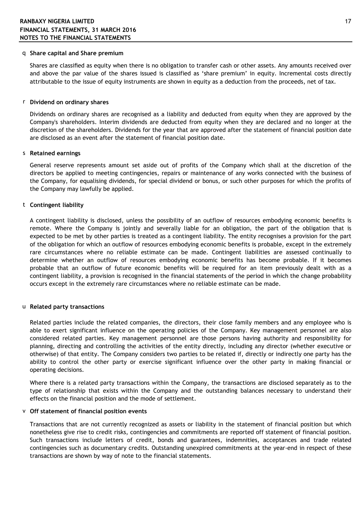#### q **Share capital and Share premium**

Shares are classified as equity when there is no obligation to transfer cash or other assets. Any amounts received over and above the par value of the shares issued is classified as "share premium" in equity. Incremental costs directly attributable to the issue of equity instruments are shown in equity as a deduction from the proceeds, net of tax.

#### r **Dividend on ordinary shares**

Dividends on ordinary shares are recognised as a liability and deducted from equity when they are approved by the Company's shareholders. Interim dividends are deducted from equity when they are declared and no longer at the discretion of the shareholders. Dividends for the year that are approved after the statement of financial position date are disclosed as an event after the statement of financial position date.

#### s **Retained earnings**

General reserve represents amount set aside out of profits of the Company which shall at the discretion of the directors be applied to meeting contingencies, repairs or maintenance of any works connected with the business of the Company, for equalising dividends, for special dividend or bonus, or such other purposes for which the profits of the Company may lawfully be applied.

#### t **Contingent liability**

A contingent liability is disclosed, unless the possibility of an outflow of resources embodying economic benefits is remote. Where the Company is jointly and severally liable for an obligation, the part of the obligation that is expected to be met by other parties is treated as a contingent liability. The entity recognises a provision for the part of the obligation for which an outflow of resources embodying economic benefits is probable, except in the extremely rare circumstances where no reliable estimate can be made. Contingent liabilities are assessed continually to determine whether an outflow of resources embodying economic benefits has become probable. If it becomes probable that an outflow of future economic benefits will be required for an item previously dealt with as a contingent liability, a provision is recognised in the financial statements of the period in which the change probability occurs except in the extremely rare circumstances where no reliable estimate can be made.

#### u **Related party transactions**

Related parties include the related companies, the directors, their close family members and any employee who is able to exert significant influence on the operating policies of the Company. Key management personnel are also considered related parties. Key management personnel are those persons having authority and responsibility for planning, directing and controlling the activities of the entity directly, including any director (whether executive or otherwise) of that entity. The Company considers two parties to be related if, directly or indirectly one party has the ability to control the other party or exercise significant influence over the other party in making financial or operating decisions.

Where there is a related party transactions within the Company, the transactions are disclosed separately as to the type of relationship that exists within the Company and the outstanding balances necessary to understand their effects on the financial position and the mode of settlement.

#### v **Off statement of financial position events**

Transactions that are not currently recognized as assets or liability in the statement of financial position but which nonetheless give rise to credit risks, contingencies and commitments are reported off statement of financial position. Such transactions include letters of credit, bonds and guarantees, indemnities, acceptances and trade related contingencies such as documentary credits. Outstanding unexpired commitments at the year-end in respect of these transactions are shown by way of note to the financial statements.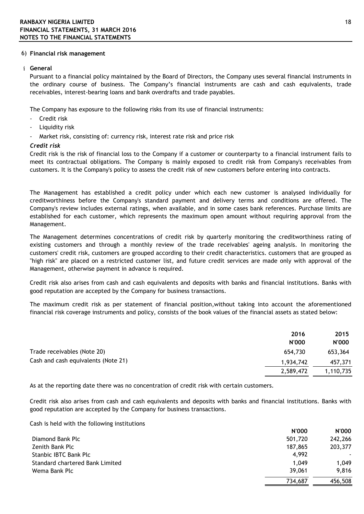#### 6) **Financial risk management**

### i **General**

Pursuant to a financial policy maintained by the Board of Directors, the Company uses several financial instruments in the ordinary course of business. The Company"s financial instruments are cash and cash equivalents, trade receivables, interest-bearing loans and bank overdrafts and trade payables.

The Company has exposure to the following risks from its use of financial instruments:

- Credit risk
- Liquidity risk
- Market risk, consisting of: currency risk, interest rate risk and price risk

#### *Credit risk*

Credit risk is the risk of financial loss to the Company if a customer or counterparty to a financial instrument fails to meet its contractual obligations. The Company is mainly exposed to credit risk from Company's receivables from customers. It is the Company's policy to assess the credit risk of new customers before entering into contracts.

The Management has established a credit policy under which each new customer is analysed individually for creditworthiness before the Company's standard payment and delivery terms and conditions are offered. The Company's review includes external ratings, when available, and in some cases bank references. Purchase limits are established for each customer, which represents the maximum open amount without requiring approval from the Management.

The Management determines concentrations of credit risk by quarterly monitoring the creditworthiness rating of existing customers and through a monthly review of the trade receivables' ageing analysis. In monitoring the customers' credit risk, customers are grouped according to their credit characteristics. customers that are grouped as "high risk" are placed on a restricted customer list, and future credit services are made only with approval of the Management, otherwise payment in advance is required.

Credit risk also arises from cash and cash equivalents and deposits with banks and financial institutions. Banks with good reputation are accepted by the Company for business transactions.

The maximum credit risk as per statement of financial position,without taking into account the aforementioned financial risk coverage instruments and policy, consists of the book values of the financial assets as stated below:

|                                     | 2016         | 2015         |
|-------------------------------------|--------------|--------------|
|                                     | <b>N'000</b> | <b>N'000</b> |
| Trade receivables (Note 20)         | 654,730      | 653,364      |
| Cash and cash equivalents (Note 21) | 1,934,742    | 457,371      |
|                                     | 2,589,472    | 1,110,735    |
|                                     |              |              |

As at the reporting date there was no concentration of credit risk with certain customers.

Credit risk also arises from cash and cash equivalents and deposits with banks and financial institutions. Banks with good reputation are accepted by the Company for business transactions.

Cash is held with the following institutions

|                                 | <b>N'000</b> | <b>N'000</b> |
|---------------------------------|--------------|--------------|
| Diamond Bank Plc                | 501,720      | 242,266      |
| Zenith Bank Plc                 | 187,865      | 203,377      |
| Stanbic IBTC Bank Plc           | 4.992        | ۰.           |
| Standard chartered Bank Limited | 1.049        | 1.049        |
| Wema Bank Plc                   | 39,061       | 9.816        |
|                                 | 734.687      | 456,508      |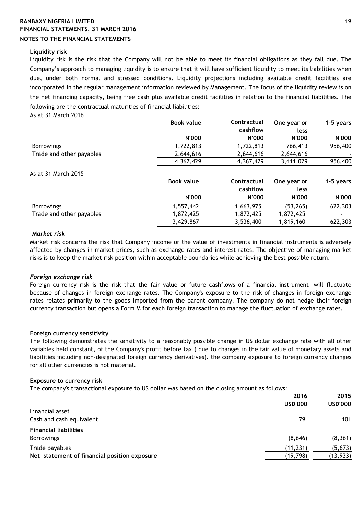# **RANBAXY NIGERIA LIMITED** 19 **FINANCIAL STATEMENTS, 31 MARCH 2016**

## **NOTES TO THE FINANCIAL STATEMENTS**

### **Liquidity risk**

As at 31 March 2016 Liquidity risk is the risk that the Company will not be able to meet its financial obligations as they fall due. The Company"s approach to managing liquidity is to ensure that it will have sufficient liquidity to meet its liabilities when due, under both normal and stressed conditions. Liquidity projections including available credit facilities are incorporated in the regular management information reviewed by Management. The focus of the liquidity review is on the net financing capacity, being free cash plus available credit facilities in relation to the financial liabilities. The following are the contractual maturities of financial liabilities:

|                          | <b>Book value</b> | Contractual<br>cashflow | One year or<br>less | 1-5 years |
|--------------------------|-------------------|-------------------------|---------------------|-----------|
|                          | <b>N'000</b>      | <b>N'000</b>            | N'000               | N'000     |
| <b>Borrowings</b>        | 1,722,813         | 1,722,813               | 766,413             | 956,400   |
| Trade and other payables | 2,644,616         | 2,644,616               | 2,644,616           |           |
|                          | 4,367,429         | 4,367,429               | 3,411,029           | 956,400   |
| As at 31 March 2015      |                   |                         |                     |           |
|                          | <b>Book value</b> | <b>Contractual</b>      | One year or         | 1-5 years |
|                          |                   | cashflow                | less                |           |
|                          | <b>N'000</b>      | <b>N'000</b>            | <b>N'000</b>        | N'000     |
| <b>Borrowings</b>        | 1,557,442         | 1,663,975               | (53, 265)           | 622,303   |
| Trade and other payables | 1,872,425         | 1,872,425               | 1,872,425           |           |
|                          | 3,429,867         | 3,536,400               | 1,819,160           | 622,303   |

### *Market risk*

Market risk concerns the risk that Company income or the value of investments in financial instruments is adversely affected by changes in market prices, such as exchange rates and interest rates. The objective of managing market risks is to keep the market risk position within acceptable boundaries while achieving the best possible return.

#### *Foreign exchange risk*

Foreign currency risk is the risk that the fair value or future cashflows of a financial instrument will fluctuate because of changes in foreign exchange rates. The Company's exposure to the risk of changes in foreign exchange rates relates primarily to the goods imported from the parent company. The company do not hedge their foreign currency transaction but opens a Form M for each foreign transaction to manage the fluctuation of exchange rates.

#### **Foreign currency sensitivity**

The following demonstrates the sensitivity to a reasonably possible change in US dollar exchange rate with all other variables held constant, of the Company's profit before tax ( due to changes in the fair value of monetary assets and liabilities including non-designated foreign currency derivatives). the company exposure to foreign currency changes for all other currencies is not material.

#### **Exposure to currency risk**

The company's transactional exposure to US dollar was based on the closing amount as follows:

|                                              | 2016           | 2015           |
|----------------------------------------------|----------------|----------------|
|                                              | <b>USD'000</b> | <b>USD'000</b> |
| Financial asset                              |                |                |
| Cash and cash equivalent                     | 79             | 101            |
| <b>Financial liabilities</b>                 |                |                |
| <b>Borrowings</b>                            | (8,646)        | (8, 361)       |
| Trade payables                               | (11, 231)      | (5, 673)       |
| Net statement of financial position exposure | (19, 798)      | (13, 933)      |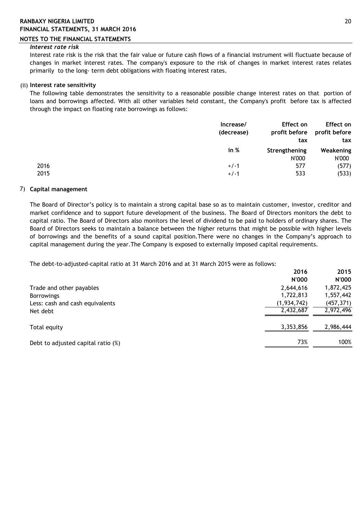## **RANBAXY NIGERIA LIMITED** 20 **FINANCIAL STATEMENTS, 31 MARCH 2016**

### **NOTES TO THE FINANCIAL STATEMENTS**

### *Interest rate risk*

Interest rate risk is the risk that the fair value or future cash flows of a financial instrument will fluctuate because of changes in market interest rates. The company's exposure to the risk of changes in market interest rates relates primarily to the long- term debt obligations with floating interest rates.

## (ii) **Interest rate sensitivity**

The following table demonstrates the sensitivity to a reasonable possible change interest rates on that portion of loans and borrowings affected. With all other variables held constant, the Company's profit before tax is affected through the impact on floating rate borrowings as follows:

|              | Increase/<br>(decrease) | Effect on<br>tax       | Effect on<br>profit before profit before<br>tax |
|--------------|-------------------------|------------------------|-------------------------------------------------|
|              | in %                    | Strengthening<br>N'000 | Weakening<br>N'000                              |
| 2016<br>2015 | $+/-1$<br>$+/-1$        | 577<br>533             | (577)<br>(533)                                  |

## 7) **Capital management**

The Board of Director"s policy is to maintain a strong capital base so as to maintain customer, investor, creditor and market confidence and to support future development of the business. The Board of Directors monitors the debt to capital ratio. The Board of Directors also monitors the level of dividend to be paid to holders of ordinary shares. The Board of Directors seeks to maintain a balance between the higher returns that might be possible with higher levels of borrowings and the benefits of a sound capital position.There were no changes in the Company"s approach to capital management during the year.The Company is exposed to externally imposed capital requirements.

The debt-to-adjusted-capital ratio at 31 March 2016 and at 31 March 2015 were as follows:

|                                    | 2016          | 2015         |
|------------------------------------|---------------|--------------|
|                                    | <b>N'000</b>  | <b>N'000</b> |
| Trade and other payables           | 2,644,616     | 1,872,425    |
| <b>Borrowings</b>                  | 1,722,813     | 1,557,442    |
| Less: cash and cash equivalents    | (1, 934, 742) | (457, 371)   |
| Net debt                           | 2,432,687     | 2,972,496    |
| Total equity                       | 3,353,856     | 2,986,444    |
| Debt to adjusted capital ratio (%) | 73%           | 100%         |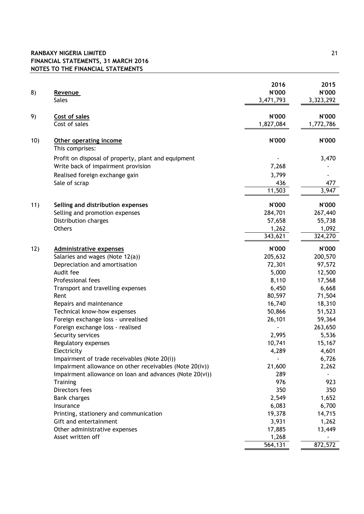## **RANBAXY NIGERIA LIMITED** 21 **FINANCIAL STATEMENTS, 31 MARCH 2016 NOTES TO THE FINANCIAL STATEMENTS**

| 8)  | Revenue<br><b>Sales</b>                                           | 2016<br><b>N'000</b><br>3,471,793 | 2015<br>N'000<br>3,323,292 |
|-----|-------------------------------------------------------------------|-----------------------------------|----------------------------|
| 9)  | Cost of sales<br>Cost of sales                                    | N'000<br>1,827,084                | <b>N'000</b><br>1,772,786  |
| 10) | Other operating income<br>This comprises:                         | <b>N'000</b>                      | <b>N'000</b>               |
|     | Profit on disposal of property, plant and equipment               |                                   | 3,470                      |
|     | Write back of impairment provision                                | 7,268                             |                            |
|     | Realised foreign exchange gain                                    | 3,799                             |                            |
|     | Sale of scrap                                                     | 436                               | 477                        |
|     |                                                                   | 11,503                            | 3,947                      |
| 11) | Selling and distribution expenses                                 | N'000                             | <b>N'000</b>               |
|     | Selling and promotion expenses                                    | 284,701                           | 267,440                    |
|     | Distribution charges                                              | 57,658                            | 55,738                     |
|     | <b>Others</b>                                                     | 1,262                             | 1,092                      |
|     |                                                                   | 343,621                           | 324,270                    |
| 12) | <b>Administrative expenses</b>                                    | N'000                             | <b>N'000</b>               |
|     | Salaries and wages (Note 12(a))                                   | 205,632                           | 200,570                    |
|     | Depreciation and amortisation                                     | 72,301                            | 97,572                     |
|     | Audit fee                                                         | 5,000                             | 12,500                     |
|     | Professional fees                                                 | 8,110                             | 17,568                     |
|     | Transport and travelling expenses                                 | 6,450                             | 6,668                      |
|     | Rent                                                              | 80,597                            | 71,504                     |
|     | Repairs and maintenance                                           | 16,740<br>50,866                  | 18,310<br>51,523           |
|     | Technical know-how expenses<br>Foreign exchange loss - unrealised | 26,101                            | 59,364                     |
|     | Foreign exchange loss - realised                                  |                                   | 263,650                    |
|     | Security services                                                 | 2,995                             | 5,536                      |
|     | Regulatory expenses                                               | 10,741                            | 15,167                     |
|     | Electricity                                                       | 4,289                             | 4,601                      |
|     | Impairment of trade receivables (Note 20(i))                      |                                   | 6,726                      |
|     | Impairment allowance on other receivables (Note 20(iv))           | 21,600                            | 2,262                      |
|     | Impairment allowance on loan and advances (Note 20(vi))           | 289                               |                            |
|     | Training                                                          | 976                               | 923                        |
|     | Directors fees                                                    | 350                               | 350                        |
|     | <b>Bank charges</b>                                               | 2,549                             | 1,652                      |
|     | Insurance                                                         | 6,083                             | 6,700                      |
|     | Printing, stationery and communication<br>Gift and entertainment  | 19,378<br>3,931                   | 14,715<br>1,262            |
|     | Other administrative expenses                                     | 17,885                            | 13,449                     |
|     | Asset written off                                                 | 1,268                             |                            |
|     |                                                                   | $\overline{564,}131$              | 872,572                    |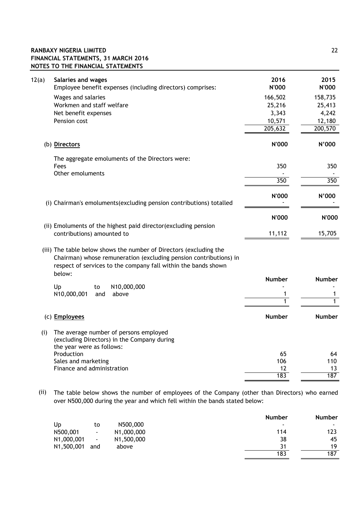## **RANBAXY NIGERIA LIMITED** 22 **FINANCIAL STATEMENTS, 31 MARCH 2016 NOTES TO THE FINANCIAL STATEMENTS**

| 12(a)<br>Salaries and wages<br>Employee benefit expenses (including directors) comprises:                                                                                                                 | 2016<br><b>N'000</b> | 2015<br><b>N'000</b> |
|-----------------------------------------------------------------------------------------------------------------------------------------------------------------------------------------------------------|----------------------|----------------------|
| Wages and salaries                                                                                                                                                                                        | 166,502              | 158,735              |
| Workmen and staff welfare                                                                                                                                                                                 | 25,216               | 25,413               |
| Net benefit expenses                                                                                                                                                                                      | 3,343                | 4,242                |
| Pension cost                                                                                                                                                                                              | 10,571               | 12,180               |
|                                                                                                                                                                                                           | 205,632              | 200,570              |
| (b) Directors                                                                                                                                                                                             | <b>N'000</b>         | N'000                |
| The aggregate emoluments of the Directors were:                                                                                                                                                           |                      |                      |
| Fees                                                                                                                                                                                                      | 350                  | 350                  |
| Other emoluments                                                                                                                                                                                          | 350                  | 350                  |
|                                                                                                                                                                                                           |                      |                      |
| (i) Chairman's emoluments (excluding pension contributions) totalled                                                                                                                                      | <b>N'000</b>         | N'000                |
|                                                                                                                                                                                                           | <b>N'000</b>         | <b>N'000</b>         |
| (ii) Emoluments of the highest paid director (excluding pension<br>contributions) amounted to                                                                                                             | 11,112               | 15,705               |
| (iii) The table below shows the number of Directors (excluding the<br>Chairman) whose remuneration (excluding pension contributions) in<br>respect of services to the company fall within the bands shown |                      |                      |
| below:                                                                                                                                                                                                    | <b>Number</b>        | <b>Number</b>        |
| N10,000,000<br>Up<br>to                                                                                                                                                                                   |                      |                      |
| above<br>N10,000,001<br>and                                                                                                                                                                               | 1                    | 1                    |
|                                                                                                                                                                                                           | 1                    | 1                    |
| (c) Employees                                                                                                                                                                                             | <b>Number</b>        | <b>Number</b>        |
| The average number of persons employed<br>(i)<br>(excluding Directors) in the Company during<br>the year were as follows:                                                                                 |                      |                      |
| Production                                                                                                                                                                                                | 65                   | 64                   |
| Sales and marketing                                                                                                                                                                                       | 106                  | 110                  |
| Finance and administration                                                                                                                                                                                | 12                   | 13                   |
|                                                                                                                                                                                                           | 183                  | 187                  |
|                                                                                                                                                                                                           |                      |                      |

 (ii) The table below shows the number of employees of the Company (other than Directors) who earned over N500,000 during the year and which fell within the bands stated below:

|                                                      | <b>Number</b>            | <b>Number</b> |
|------------------------------------------------------|--------------------------|---------------|
| N500,000<br>Up<br>to                                 | $\overline{\phantom{a}}$ | ٠             |
| N500,001<br>N1,000,000<br>۰                          | 114                      | 123           |
| N1,000,001<br>N1,500,000<br>$\overline{\phantom{a}}$ | 38                       | 45            |
| N1,500,001<br>above<br>and                           | 31                       | 19            |
|                                                      | 183                      | 187           |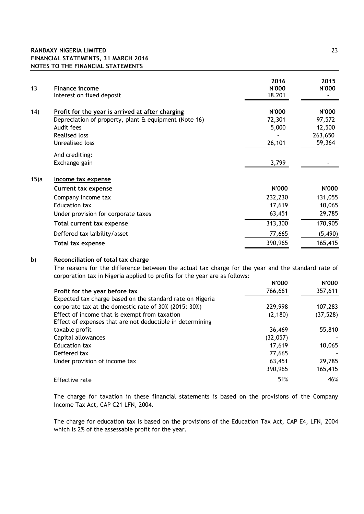| 13      | <b>Finance income</b><br>Interest on fixed deposit    | 2016<br><b>N'000</b><br>18,201 | 2015<br>N'000 |
|---------|-------------------------------------------------------|--------------------------------|---------------|
| (14)    | Profit for the year is arrived at after charging      | N'000                          | N'000         |
|         | Depreciation of property, plant & equipment (Note 16) | 72,301                         | 97,572        |
|         | Audit fees                                            | 5,000                          | 12,500        |
|         | <b>Realised loss</b>                                  |                                | 263,650       |
|         | Unrealised loss                                       | 26,101                         | 59,364        |
|         | And crediting:                                        |                                |               |
|         | Exchange gain                                         | 3,799                          |               |
| $15$ )a | Income tax expense                                    |                                |               |
|         | <b>Current tax expense</b>                            | <b>N'000</b>                   | <b>N'000</b>  |
|         | Company income tax                                    | 232,230                        | 131,055       |
|         | Education tax                                         | 17,619                         | 10,065        |
|         | Under provision for corporate taxes                   | 63,451                         | 29,785        |
|         | Total current tax expense                             | 313,300                        | 170,905       |
|         | Deffered tax laibility/asset                          | 77,665                         | (5, 490)      |
|         | <b>Total tax expense</b>                              | 390,965                        | 165,415       |
|         |                                                       |                                |               |

### b) **Reconciliation of total tax charge**

The reasons for the difference between the actual tax charge for the year and the standard rate of corporation tax in Nigeria applied to profits for the year are as follows:

|                                                           | <b>N'000</b> | N'000     |
|-----------------------------------------------------------|--------------|-----------|
| Profit for the year before tax                            | 766,661      | 357,611   |
| Expected tax charge based on the standard rate on Nigeria |              |           |
| corporate tax at the domestic rate of 30% (2015: 30%)     | 229,998      | 107,283   |
| Effect of income that is exempt from taxation             | (2, 180)     | (37, 528) |
| Effect of expenses that are not deductible in determining |              |           |
| taxable profit                                            | 36,469       | 55,810    |
| Capital allowances                                        | (32,057)     |           |
| Education tax                                             | 17,619       | 10,065    |
| Deffered tax                                              | 77,665       |           |
| Under provision of income tax                             | 63,451       | 29,785    |
|                                                           | 390,965      | 165,415   |
| <b>Effective rate</b>                                     | 51%          | 46%       |

The charge for taxation in these financial statements is based on the provisions of the Company Income Tax Act, CAP C21 LFN, 2004.

The charge for education tax is based on the provisions of the Education Tax Act, CAP E4, LFN, 2004 which is 2% of the assessable profit for the year.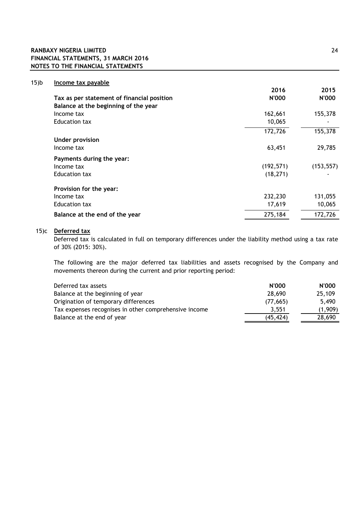## **RANBAXY NIGERIA LIMITED** 24 **FINANCIAL STATEMENTS, 31 MARCH 2016 NOTES TO THE FINANCIAL STATEMENTS**

| $15$ ) $b$ | Income tax payable                         |            |            |
|------------|--------------------------------------------|------------|------------|
|            |                                            | 2016       | 2015       |
|            | Tax as per statement of financial position | N'000      | N'000      |
|            | Balance at the beginning of the year       |            |            |
|            | Income tax                                 | 162,661    | 155,378    |
|            | Education tax                              | 10,065     |            |
|            |                                            | 172,726    | 155,378    |
|            | <b>Under provision</b>                     |            |            |
|            | Income tax                                 | 63,451     | 29,785     |
|            | Payments during the year:                  |            |            |
|            | Income tax                                 | (192, 571) | (153, 557) |
|            | Education tax                              | (18, 271)  |            |
|            | Provision for the year:                    |            |            |
|            | Income tax                                 | 232,230    | 131,055    |
|            | Education tax                              | 17,619     | 10,065     |
|            | Balance at the end of the year             | 275,184    | 172,726    |
|            |                                            |            |            |

### 15)c **Deferred tax**

Deferred tax is calculated in full on temporary differences under the liability method using a tax rate of 30% (2015: 30%).

The following are the major deferred tax liabilities and assets recognised by the Company and movements thereon during the current and prior reporting period:

| Deferred tax assets                                   | <b>N'000</b> | <b>N'000</b> |
|-------------------------------------------------------|--------------|--------------|
| Balance at the beginning of year                      | 28,690       | 25,109       |
| Origination of temporary differences                  | (77.665)     | 5.490        |
| Tax expenses recognises in other comprehensive income | 3.551        | (1.909)      |
| Balance at the end of year                            | (45, 424)    | 28,690       |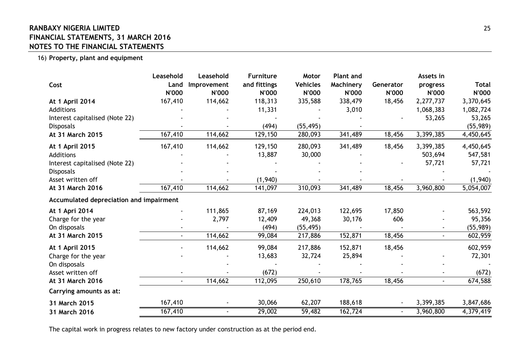# **RANBAXY NIGERIA LIMITED** 25 **FINANCIAL STATEMENTS, 31 MARCH 2016 NOTES TO THE FINANCIAL STATEMENTS**

16) **Property, plant and equipment**

| Cost                                    | Leasehold<br>Land<br><b>N'000</b> | Leasehold<br>Improvement<br><b>N'000</b> | <b>Furniture</b><br>and fittings<br><b>N'000</b> | Motor<br><b>Vehicles</b><br><b>N'000</b> | <b>Plant and</b><br>Machinery<br><b>N'000</b> | Generator<br><b>N'000</b> | Assets in<br>progress<br><b>N'000</b> | <b>Total</b><br><b>N'000</b> |
|-----------------------------------------|-----------------------------------|------------------------------------------|--------------------------------------------------|------------------------------------------|-----------------------------------------------|---------------------------|---------------------------------------|------------------------------|
| At 1 April 2014                         | 167,410                           | 114,662                                  | 118,313                                          | 335,588                                  | 338,479                                       | 18,456                    | 2,277,737                             | 3,370,645                    |
| Additions                               |                                   |                                          | 11,331                                           |                                          | 3,010                                         |                           | 1,068,383                             | 1,082,724                    |
| Interest capitalised (Note 22)          |                                   |                                          |                                                  |                                          |                                               |                           | 53,265                                | 53,265                       |
| <b>Disposals</b>                        |                                   |                                          | (494)                                            | (55, 495)                                |                                               |                           |                                       | (55, 989)                    |
| At 31 March 2015                        | 167,410                           | 114,662                                  | 129,150                                          | 280,093                                  | 341,489                                       | 18,456                    | 3,399,385                             | 4,450,645                    |
| At 1 April 2015                         | 167,410                           | 114,662                                  | 129,150                                          | 280,093                                  | 341,489                                       | 18,456                    | 3,399,385                             | 4,450,645                    |
| <b>Additions</b>                        |                                   |                                          | 13,887                                           | 30,000                                   |                                               |                           | 503,694                               | 547,581                      |
| Interest capitalised (Note 22)          |                                   |                                          |                                                  |                                          |                                               |                           | 57,721                                | 57,721                       |
| <b>Disposals</b>                        |                                   |                                          |                                                  |                                          |                                               |                           |                                       |                              |
| Asset written off                       |                                   |                                          | (1,940)                                          |                                          |                                               |                           |                                       | (1,940)                      |
| At 31 March 2016                        | 167,410                           | 114,662                                  | 141,097                                          | 310,093                                  | 341,489                                       | 18,456                    | 3,960,800                             | 5,054,007                    |
| Accumulated depreciation and impairment |                                   |                                          |                                                  |                                          |                                               |                           |                                       |                              |
| At 1 Apri 2014                          |                                   | 111,865                                  | 87,169                                           | 224,013                                  | 122,695                                       | 17,850                    |                                       | 563,592                      |
| Charge for the year                     |                                   | 2,797                                    | 12,409                                           | 49,368                                   | 30,176                                        | 606                       |                                       | 95,356                       |
| On disposals                            |                                   |                                          | (494)                                            | (55, 495)                                |                                               |                           |                                       | (55, 989)                    |
| At 31 March 2015                        | $\blacksquare$                    | 114,662                                  | 99,084                                           | 217,886                                  | 152,871                                       | 18,456                    |                                       | 602,959                      |
| At 1 April 2015                         |                                   | 114,662                                  | 99,084                                           | 217,886                                  | 152,871                                       | 18,456                    |                                       | 602,959                      |
| Charge for the year                     |                                   |                                          | 13,683                                           | 32,724                                   | 25,894                                        |                           |                                       | 72,301                       |
| On disposals                            |                                   |                                          |                                                  |                                          |                                               |                           |                                       |                              |
| Asset written off                       |                                   |                                          | (672)                                            |                                          |                                               |                           |                                       | (672)                        |
| At 31 March 2016                        | $\blacksquare$                    | 114,662                                  | 112,095                                          | 250,610                                  | 178,765                                       | 18,456                    |                                       | 674,588                      |
| Carrying amounts as at:                 |                                   |                                          |                                                  |                                          |                                               |                           |                                       |                              |
| 31 March 2015                           | 167,410                           |                                          | 30,066                                           | 62,207                                   | 188,618                                       |                           | 3,399,385                             | 3,847,686                    |
| 31 March 2016                           | 167,410                           |                                          | 29,002                                           | 59,482                                   | 162,724                                       |                           | 3,960,800                             | 4,379,419                    |

The capital work in progress relates to new factory under construction as at the period end.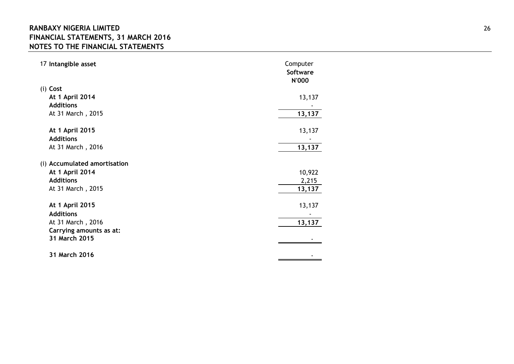# **RANBAXY NIGERIA LIMITED** 26 **FINANCIAL STATEMENTS, 31 MARCH 2016 NOTES TO THE FINANCIAL STATEMENTS**

| 17 Intangible asset                 | Computer<br><b>Software</b><br><b>N'000</b> |
|-------------------------------------|---------------------------------------------|
| (i) Cost                            |                                             |
| At 1 April 2014                     | 13,137                                      |
| <b>Additions</b>                    |                                             |
| At 31 March, 2015                   | 13,137                                      |
| At 1 April 2015<br><b>Additions</b> | 13,137                                      |
| At 31 March, 2016                   | 13,137                                      |
| (i) Accumulated amortisation        |                                             |
| At 1 April 2014                     | 10,922                                      |
| <b>Additions</b>                    | 2,215                                       |
| At 31 March, 2015                   | 13,137                                      |
| At 1 April 2015<br><b>Additions</b> | 13,137                                      |
| At 31 March, 2016                   | 13,137                                      |
| Carrying amounts as at:             |                                             |
| 31 March 2015                       |                                             |
| 31 March 2016                       |                                             |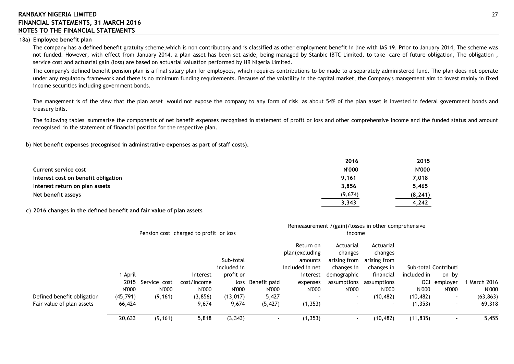#### 18a) **Employee benefit plan**

The company has a defined benefit gratuity scheme,which is non contributory and is classified as other employment benefit in line with IAS 19. Prior to January 2014, The scheme was not funded. However, with effect from January 2014. a plan asset has been set aside, being managed by Stanbic IBTC Limited, to take care of future obligation, The obligation , service cost and actuarial gain (loss) are based on actuarial valuation performed by HR Nigeria Limited.

The company's defined benefit pension plan is a final salary plan for employees, which requires contributions to be made to a separately administered fund. The plan does not operate under any regulatory framework and there is no minimum funding requirements. Because of the volatility in the capital market, the Company's mangement aim to invest mainly in fixed income securities including government bonds.

The mangement is of the view that the plan asset would not expose the company to any form of risk as about 54% of the plan asset is invested in federal government bonds and treasury bills.

The following tables summarise the components of net benefit expenses recognised in statement of profit or loss and other comprehensive income and the funded status and amount recognised in the statement of financial position for the respective plan.

b) **Net benefit expenses (recognised in adminstrative expenses as part of staff costs).**

|                                     | 2016         | 2015         |
|-------------------------------------|--------------|--------------|
| Current service cost                | <b>N'000</b> | <b>N'000</b> |
| Interest cost on benefit obligation | 9.161        | 7,018        |
| Interest return on plan assets      | 3,856        | 5,465        |
| Net benefit asseys                  | (9,674)      | (8, 241)     |
|                                     | 3,343        | 4,242        |

#### c) **2016 changes in the defined benefit and fair value of plan assets**

|                            |           | Remeasurement /(gain)/losses in other comprehensive |                                        |             |              |                                        |                                      |                                      |             |                      |                         |
|----------------------------|-----------|-----------------------------------------------------|----------------------------------------|-------------|--------------|----------------------------------------|--------------------------------------|--------------------------------------|-------------|----------------------|-------------------------|
|                            |           |                                                     | Pension cost charged to profit or loss |             |              |                                        | income                               |                                      |             |                      |                         |
|                            |           |                                                     |                                        | Sub-total   |              | Return on<br>plan(excluding<br>amounts | Actuarial<br>changes<br>arising from | Actuarial<br>changes<br>arising from |             |                      |                         |
|                            |           |                                                     |                                        | included in |              | included in net                        | changes in                           | changes in                           |             | Sub-total Contributi |                         |
|                            | April     |                                                     | Interest                               | profit or   |              | interest                               | demographic                          | financial                            | included in | on by                |                         |
|                            | 2015      | Service cost                                        | cost/Income                            | loss        | Benefit paid | expenses                               | assumptions                          | assumptions                          | <b>OCI</b>  | emplover             | March 2016 <b>March</b> |
|                            | N'000     | N'000                                               | N'000                                  | N'000       | N'000        | N'000                                  | N'000                                | N'000                                | N'000       | N'000                | N'000                   |
| Defined benefit obligation | (45, 791) | (9, 161)                                            | (3, 856)                               | (13, 017)   | 5,427        |                                        | $\sim$                               | (10, 482)                            | (10, 482)   | $\sim$               | (63, 863)               |
| Fair value of plan assets  | 66,424    |                                                     | 9,674                                  | 9,674       | (5, 427)     | (1, 353)                               | $\sim$                               | $\blacksquare$                       | (1, 353)    | $\sim$               | 69,318                  |
|                            | 20,633    | (9, 161)                                            | 5,818                                  | (3, 343)    |              | (1, 353)                               |                                      | (10, 482)                            | (11, 835)   |                      | 5,455                   |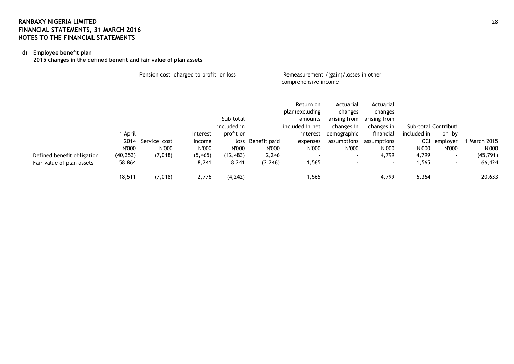## d) **Employee benefit plan**

**2015 changes in the defined benefit and fair value of plan assets**

|                            |           | Pension cost charged to profit or loss |          |             |              | Remeasurement /(gain)/losses in other<br>comprehensive income |                                      |                                      |             |                      |              |
|----------------------------|-----------|----------------------------------------|----------|-------------|--------------|---------------------------------------------------------------|--------------------------------------|--------------------------------------|-------------|----------------------|--------------|
|                            |           |                                        |          | Sub-total   |              | Return on<br>plan(excluding<br>amounts                        | Actuarial<br>changes<br>arising from | Actuarial<br>changes<br>arising from |             |                      |              |
|                            |           |                                        |          | included in |              | included in net                                               | changes in                           | changes in                           |             | Sub-total Contributi |              |
|                            | 1 April   |                                        | Interest | profit or   |              | interest                                                      | demographic                          | financial                            | included in | on by                |              |
|                            | 2014      | Service cost                           | Income   | loss        | Benefit paid | expenses                                                      | assumptions                          | assumptions                          | <b>OCI</b>  | employer             | 1 March 2015 |
|                            | N'000     | N'000                                  | N'000    | N'000       | N'000        | N'000                                                         | N'000                                | N'000                                | N'000       | N'000                | N'000        |
| Defined benefit obligation | (40, 353) | (7,018)                                | (5, 465) | (12, 483)   | 2,246        | $\sim$                                                        | $\sim$                               | 4,799                                | 4,799       | $\sim$               | (45, 791)    |
| Fair value of plan assets  | 58,864    |                                        | 8,241    | 8,241       | (2, 246)     | 1,565                                                         |                                      |                                      | 1,565       | ٠                    | 66,424       |
|                            | 18,511    | (7,018)                                | 2,776    | (4, 242)    |              | 1,565                                                         |                                      | 4,799                                | 6,364       |                      | 20,633       |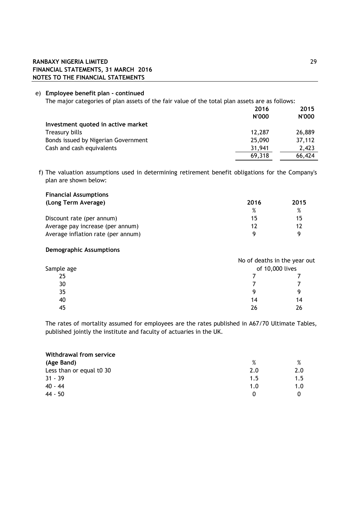## **RANBAXY NIGERIA LIMITED** 29 **FINANCIAL STATEMENTS, 31 MARCH 2016 NOTES TO THE FINANCIAL STATEMENTS**

### e) **Employee benefit plan - continued**

The major categories of plan assets of the fair value of the total plan assets are as follows:

|                                     | 2016         | 2015   |
|-------------------------------------|--------------|--------|
|                                     | <b>N'000</b> | N'000  |
| Investment quoted in active market  |              |        |
| Treasury bills                      | 12.287       | 26,889 |
| Bonds issued by Nigerian Government | 25,090       | 37,112 |
| Cash and cash equivalents           | 31,941       | 2.423  |
|                                     | 69,318       | 66,424 |

f) The valuation assumptions used in determining retirement benefit obligations for the Company's plan are shown below:

| <b>Financial Assumptions</b>       |      |      |
|------------------------------------|------|------|
| (Long Term Average)                | 2016 | 2015 |
|                                    | $\%$ | $\%$ |
| Discount rate (per annum)          | 15   | 15   |
| Average pay increase (per annum)   | 17   | 12   |
| Average inflation rate (per annum) |      |      |

#### **Demographic Assumptions**

|            | No of deaths in the year out |    |  |  |
|------------|------------------------------|----|--|--|
| Sample age | of 10,000 lives              |    |  |  |
| 25         |                              |    |  |  |
| 30         |                              |    |  |  |
| 35         | Q                            | Q  |  |  |
| 40         | 14                           | 14 |  |  |
| 45         | 26                           | 26 |  |  |

The rates of mortality assumed for employees are the rates published in A67/70 Ultimate Tables, published jointly the institute and faculty of actuaries in the UK.

| Withdrawal from service  |     |      |  |  |  |
|--------------------------|-----|------|--|--|--|
| (Age Band)               | %   | $\%$ |  |  |  |
| Less than or equal t0 30 | 2.0 | 2.0  |  |  |  |
| $31 - 39$                | 1.5 | 1.5  |  |  |  |
| $40 - 44$                | 1.0 | 1.0  |  |  |  |
| 44 - 50                  | n   |      |  |  |  |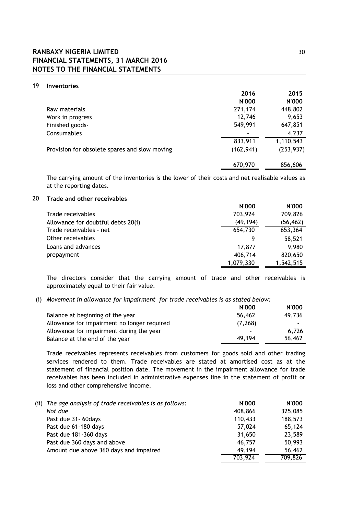## **RANBAXY NIGERIA LIMITED** 30 **FINANCIAL STATEMENTS, 31 MARCH 2016 NOTES TO THE FINANCIAL STATEMENTS**

#### 19 **Inventories**

|                                               | 2016         | 2015         |
|-----------------------------------------------|--------------|--------------|
|                                               | <b>N'000</b> | <b>N'000</b> |
| Raw materials                                 | 271,174      | 448,802      |
| Work in progress                              | 12,746       | 9,653        |
| Finished goods-                               | 549,991      | 647,851      |
| Consumables                                   |              | 4,237        |
|                                               | 833,911      | 1,110,543    |
| Provision for obsolete spares and slow moving | (162, 941)   | (253, 937)   |
|                                               |              |              |
|                                               | 670,970      | 856,606      |

The carrying amount of the inventories is the lower of their costs and net realisable values as at the reporting dates.

#### 20 **Trade and other receivables**

|                                    | <b>N'000</b> | <b>N'000</b> |
|------------------------------------|--------------|--------------|
| Trade receivables                  | 703,924      | 709,826      |
| Allowance for doubtful debts 20(i) | (49,194)     | (56, 462)    |
| Trade receivables - net            | 654,730      | 653,364      |
| Other receivables                  |              | 58,521       |
| Loans and advances                 | 17,877       | 9,980        |
| prepayment                         | 406,714      | 820,650      |
|                                    | 1,079,330    | 1,542,515    |

The directors consider that the carrying amount of trade and other receivables is approximately equal to their fair value.

#### (i) *Movement in allowance for impairment for trade receivables is as stated below:*

|                                             | <b>N'000</b> | <b>N'000</b>             |
|---------------------------------------------|--------------|--------------------------|
| Balance at beginning of the year            | 56,462       | 49.736                   |
| Allowance for impairment no longer required | (7, 268)     | $\overline{\phantom{a}}$ |
| Allowance for impairment during the year    | -            | 6.726                    |
| Balance at the end of the year              | 49.194       | 56,462                   |

Trade receivables represents receivables from customers for goods sold and other trading services rendered to them. Trade receivables are stated at amortised cost as at the statement of financial position date. The movement in the impairment allowance for trade receivables has been included in administrative expenses line in the statement of profit or loss and other comprehensive income.

| (ii) The age analysis of trade receivables is as follows: | N'000   | <b>N'000</b> |
|-----------------------------------------------------------|---------|--------------|
| Not due                                                   | 408,866 | 325,085      |
| Past due 31-60 days                                       | 110,433 | 188,573      |
| Past due 61-180 days                                      | 57,024  | 65,124       |
| Past due 181-360 days                                     | 31,650  | 23,589       |
| Past due 360 days and above                               | 46,757  | 50,993       |
| Amount due above 360 days and impaired                    | 49.194  | 56,462       |
|                                                           | 703,924 | 709,826      |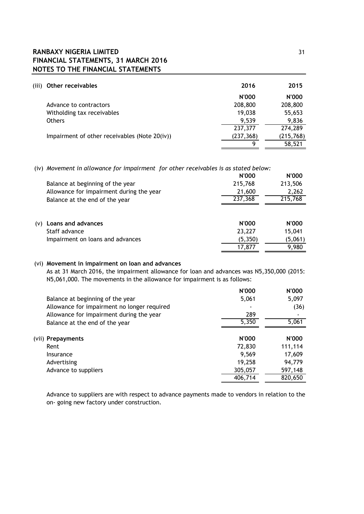## **RANBAXY NIGERIA LIMITED** 31 **FINANCIAL STATEMENTS, 31 MARCH 2016 NOTES TO THE FINANCIAL STATEMENTS**

| (iii) | Other receivables                             | 2016         | 2015         |
|-------|-----------------------------------------------|--------------|--------------|
|       |                                               | <b>N'000</b> | <b>N'000</b> |
|       | Advance to contractors                        | 208,800      | 208,800      |
|       | Witholding tax receivables                    | 19,038       | 55,653       |
|       | <b>Others</b>                                 | 9,539        | 9,836        |
|       |                                               | 237,377      | 274,289      |
|       | Impairment of other receivables (Note 20(iv)) | (237, 368)   | (215, 768)   |
|       |                                               | g            | 58,521       |

(iv) *Movement in allowance for impairment for other receivables is as stated below:*

|                                          | <b>N'000</b> | <b>N'000</b> |
|------------------------------------------|--------------|--------------|
| Balance at beginning of the year         | 215,768      | 213,506      |
| Allowance for impairment during the year | 21,600       | 2,262        |
| Balance at the end of the year           | 237,368      | 215,768      |
| Loans and advances<br>(v)                | <b>N'000</b> | <b>N'000</b> |
| Staff advance                            | 23,227       | 15,041       |
| Impairment on loans and advances         | (5, 350)     | (5,061)      |
|                                          | 17,877       | 9,980        |

## (vi) **Movement in impairment on loan and advances**

As at 31 March 2016, the impairment allowance for loan and advances was N5,350,000 (2015: N5,061,000. The movements in the allowance for impairment is as follows:

|                                             | <b>N'000</b> | <b>N'000</b> |
|---------------------------------------------|--------------|--------------|
| Balance at beginning of the year            | 5,061        | 5,097        |
| Allowance for impairment no longer required |              | (36)         |
| Allowance for impairment during the year    | 289          | ٠            |
| Balance at the end of the year              | 5,350        | 5,061        |
|                                             |              |              |
| (vii) Prepayments                           | <b>N'000</b> | <b>N'000</b> |
| Rent                                        | 72,830       | 111,114      |
| Insurance                                   | 9,569        | 17,609       |
| Advertising                                 | 19,258       | 94,779       |
| Advance to suppliers                        | 305,057      | 597,148      |
|                                             | 406,714      | 820,650      |

Advance to suppliers are with respect to advance payments made to vendors in relation to the on- going new factory under construction.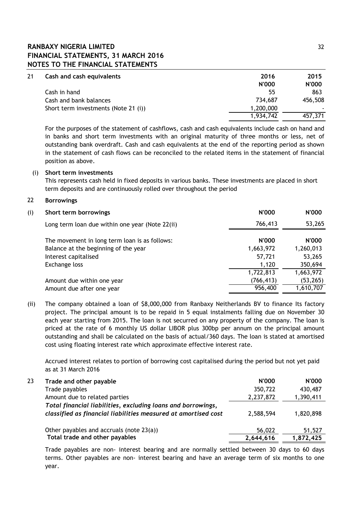## **RANBAXY NIGERIA LIMITED** 32 **FINANCIAL STATEMENTS, 31 MARCH 2016 NOTES TO THE FINANCIAL STATEMENTS**

| 21 | Cash and cash equivalents            | 2016         | 2015           |
|----|--------------------------------------|--------------|----------------|
|    |                                      | <b>N'000</b> | <b>N'000</b>   |
|    | Cash in hand                         | 55           | 863            |
|    | Cash and bank balances               | 734.687      | 456,508        |
|    | Short term investments (Note 21 (i)) | 1,200,000    | $\blacksquare$ |
|    |                                      | 1,934,742    | 457,371        |

For the purposes of the statement of cashflows, cash and cash equivalents include cash on hand and in banks and short term investments with an original maturity of three months or less, net of outstanding bank overdraft. Cash and cash equivalents at the end of the reporting period as shown in the statement of cash flows can be reconciled to the related items in the statement of financial position as above.

### (i) **Short term investments**

This represents cash held in fixed deposits in various banks. These investments are placed in short term deposits and are continuously rolled over throughout the period

### 22 **Borrowings**

| (i) | Short term borrowings                           | <b>N'000</b> | <b>N'000</b> |
|-----|-------------------------------------------------|--------------|--------------|
|     | Long term loan due within one year (Note 22(ii) | 766,413      | 53,265       |
|     | The movement in long term loan is as follows:   | <b>N'000</b> | <b>N'000</b> |
|     | Balance at the beginning of the year            | 1,663,972    | 1,260,013    |
|     | Interest capitalised                            | 57,721       | 53,265       |
|     | Exchange loss                                   | 1,120        | 350,694      |
|     |                                                 | 1,722,813    | 1,663,972    |
|     | Amount due within one year                      | (766, 413)   | (53, 265)    |
|     | Amount due after one year                       | 956,400      | 1,610,707    |

(ii) The company obtained a loan of \$8,000,000 from Ranbaxy Neitherlands BV to finance Its factory project. The principal amount is to be repaid in 5 equal instalments falling due on November 30 each year starting from 2015. The loan is not securred on any property of the company. The loan is priced at the rate of 6 monthly US dollar LIBOR plus 300bp per annum on the principal amount outstanding and shall be calculated on the basis of actual/360 days. The loan is stated at amortised cost using floating interest rate which approximate effective interest rate.

Accrued interest relates to portion of borrowing cost capitalised during the period but not yet paid as at 31 March 2016

| 23 | Trade and other payable                                                                                                        | <b>N'000</b> | <b>N'000</b> |
|----|--------------------------------------------------------------------------------------------------------------------------------|--------------|--------------|
|    | Trade payables                                                                                                                 | 350,722      | 430,487      |
|    | Amount due to related parties                                                                                                  | 2,237,872    | 1,390,411    |
|    | Total financial liabilities, excluding loans and borrowings,<br>classified as financial liabilities measured at amortised cost | 2,588,594    | 1,820,898    |
|    | Other payables and accruals (note $23(a)$ )                                                                                    | 56,022       | 51,527       |
|    | Total trade and other payables                                                                                                 | 2,644,616    | 1,872,425    |

Trade payables are non- interest bearing and are normally settled between 30 days to 60 days terms. Other payables are non- interest bearing and have an average term of six months to one year.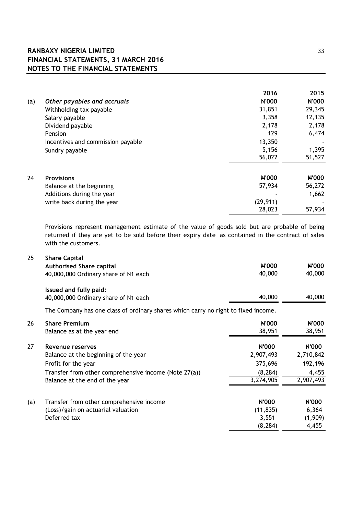# **RANBAXY NIGERIA LIMITED** 33 **FINANCIAL STATEMENTS, 31 MARCH 2016 NOTES TO THE FINANCIAL STATEMENTS**

|                                   | 2016         | 2015   |
|-----------------------------------|--------------|--------|
| Other payables and accruals       | N'000        | N'000  |
| Withholding tax payable           | 31,851       | 29,345 |
| Salary payable                    | 3,358        | 12,135 |
| Dividend payable                  | 2,178        | 2,178  |
| Pension                           | 129          | 6,474  |
| Incentives and commission payable | 13,350       |        |
| Sundry payable                    | 5,156        | 1,395  |
|                                   | 56,022       | 51,527 |
| <b>Provisions</b>                 | <b>N'000</b> | N'000  |
| Balance at the beginning          | 57,934       | 56,272 |
| Additions during the year         |              | 1,662  |
| write back during the year        | (29, 911)    |        |
|                                   | 28,023       | 57,934 |
|                                   |              |        |

Provisions represent management estimate of the value of goods sold but are probable of being returned if they are yet to be sold before their expiry date as contained in the contract of sales with the customers.

| 25  | <b>Share Capital</b>                                                               |              |              |
|-----|------------------------------------------------------------------------------------|--------------|--------------|
|     | <b>Authorised Share capital</b>                                                    | N'000        | <b>N'000</b> |
|     | 40,000,000 Ordinary share of N1 each                                               | 40,000       | 40,000       |
|     | Issued and fully paid:                                                             |              |              |
|     | 40,000,000 Ordinary share of N1 each                                               | 40,000       | 40,000       |
|     | The Company has one class of ordinary shares which carry no right to fixed income. |              |              |
| 26  | <b>Share Premium</b>                                                               | N'000        | <b>N'000</b> |
|     | Balance as at the year end                                                         | 38,951       | 38,951       |
| 27  | Revenue reserves                                                                   | N'000        | N'000        |
|     | Balance at the beginning of the year                                               | 2,907,493    | 2,710,842    |
|     | Profit for the year                                                                | 375,696      | 192,196      |
|     | Transfer from other comprehensive income (Note 27(a))                              | (8, 284)     | 4,455        |
|     | Balance at the end of the year                                                     | 3,274,905    | 2,907,493    |
| (a) | Transfer from other comprehensive income                                           | <b>N'000</b> | <b>N'000</b> |
|     | (Loss)/gain on actuarial valuation                                                 | (11, 835)    | 6,364        |
|     | Deferred tax                                                                       | 3,551        | (1,909)      |
|     |                                                                                    | (8, 284)     | 4,455        |
|     |                                                                                    |              |              |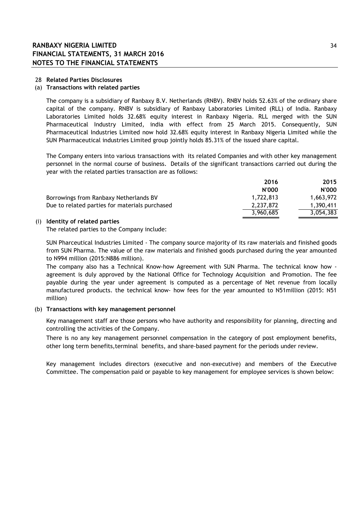#### 28 **Related Parties Disclosures**

#### (a) **Transactions with related parties**

The company is a subsidiary of Ranbaxy B.V. Netherlands (RNBV). RNBV holds 52.63% of the ordinary share capital of the company. RNBV is subsidiary of Ranbaxy Laboratories Limited (RLL) of India. Ranbaxy Laboratories Limited holds 32.68% equity interest in Ranbaxy Nigeria. RLL merged with the SUN Pharmaceutical Industry Limited, india with effect from 25 March 2015. Consequently, SUN Pharmaceutical Industries Limited now hold 32.68% equity interest in Ranbaxy Nigeria Limited while the SUN Pharmaceutical industries Limited group jointly holds 85.31% of the issued share capital.

The Company enters into various transactions with its related Companies and with other key management personnel in the normal course of business. Details of the significant transactions carried out during the year with the related parties transaction are as follows:

|                                                | 2016         | 2015         |
|------------------------------------------------|--------------|--------------|
|                                                | <b>N'000</b> | <b>N'000</b> |
| Borrowings from Ranbaxy Netherlands BV         | 1.722.813    | 1.663.972    |
| Due to related parties for materials purchased | 2.237.872    | 1.390.411    |
|                                                | 3,960,685    | 3,054,383    |

#### (i) **Identity of related parties**

The related parties to the Company include:

SUN Pharceutical Industries Limited - The company source majority of its raw materials and finished goods from SUN Pharma. The value of the raw materials and finished goods purchased during the year amounted to N994 million (2015:N886 million).

The company also has a Technical Know-how Agreement with SUN Pharma. The technical know how agreement is duly approved by the National Office for Technology Acquisition and Promotion. The fee payable during the year under agreement is computed as a percentage of Net revenue from locally manufactured products. the technical know- how fees for the year amounted to N51million (2015: N51 million)

#### (b) **Transactions with key management personnel**

Key management staff are those persons who have authority and responsibility for planning, directing and controlling the activities of the Company.

There is no any key management personnel compensation in the category of post employment benefits, other long term benefits,terminal benefits, and share-based payment for the periods under review.

Key management includes directors (executive and non-executive) and members of the Executive Committee. The compensation paid or payable to key management for employee services is shown below: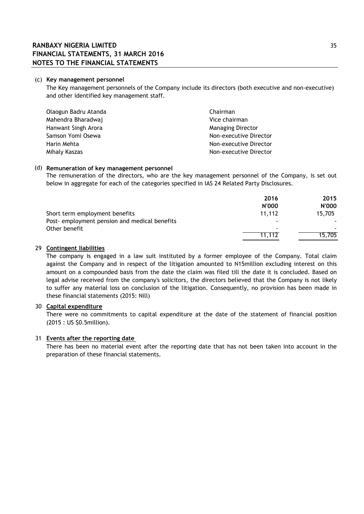#### (c) **Key management personnel**

The Key management personnels of the Company include its directors (both executive and non-executive) and other identified key management staff.

| Olaogun Badru Atanda | Chairman                 |
|----------------------|--------------------------|
| Mahendra Bharadwaj   | Vice chairman            |
| Hanwant Singh Arora  | <b>Managing Director</b> |
| Samson Yomi Osewa    | Non-executive Director   |
| Harin Mehta          | Non-executive Director   |
| Mihaly Kaszas        | Non-executive Director   |

#### (d) **Remuneration of key management personnel**

The remuneration of the directors, who are the key management personnel of the Company, is set out below in aggregate for each of the categories specified in IAS 24 Related Party Disclosures.

|                                               | 2016         | 2015         |
|-----------------------------------------------|--------------|--------------|
|                                               | <b>N'000</b> | <b>N'000</b> |
| Short term employment benefits                | 11.112       | 15.705       |
| Post- employment pension and medical benefits |              |              |
| Other benefit                                 | -            |              |
|                                               | 11.112       | 15.705       |

#### 29 **Contingent liabilities**

The company is engaged in a law suit instituted by a former employee of the Company. Total claim against the Company and in respect of the litigation amounted to N15million excluding interest on this amount on a compounded basis from the date the claim was filed till the date it is concluded. Based on legal advise received from the company's solicitors, the directors believed that the Company is not likely to suffer any material loss on conclusion of the litigation. Consequently, no provision has been made in these financial statements (2015: Nill)

## 30 **Capital expenditure**

There were no commitments to capital expenditure at the date of the statement of financial position (2015 : US \$0.5million).

### 31 **Events after the reporting date**

There has been no material event after the reporting date that has not been taken into account in the preparation of these financial statements.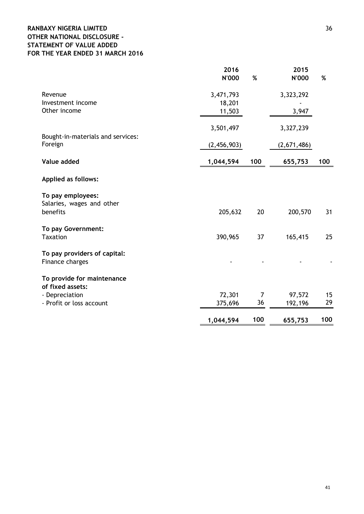## **RANBAXY NIGERIA LIMITED** 36 **OTHER NATIONAL DISCLOSURE - STATEMENT OF VALUE ADDED FOR THE YEAR ENDED 31 MARCH 2016**

|                                              | 2016<br><b>N'000</b> | $\%$                 | 2015<br><b>N'000</b> | $\%$     |
|----------------------------------------------|----------------------|----------------------|----------------------|----------|
| Revenue                                      | 3,471,793            |                      | 3,323,292            |          |
| Investment income                            | 18,201               |                      |                      |          |
| Other income                                 | 11,503               |                      | 3,947                |          |
|                                              | 3,501,497            |                      | 3,327,239            |          |
| Bought-in-materials and services:<br>Foreign | (2,456,903)          |                      | (2,671,486)          |          |
| Value added                                  | 1,044,594            | 100                  | 655,753              | 100      |
| <b>Applied as follows:</b>                   |                      |                      |                      |          |
| To pay employees:                            |                      |                      |                      |          |
| Salaries, wages and other<br>benefits        | 205,632              | 20                   | 200,570              | 31       |
| To pay Government:                           |                      |                      |                      |          |
| <b>Taxation</b>                              | 390,965              | 37                   | 165,415              | 25       |
| To pay providers of capital:                 |                      |                      |                      |          |
| Finance charges                              |                      |                      |                      |          |
| To provide for maintenance                   |                      |                      |                      |          |
| of fixed assets:                             |                      |                      |                      |          |
| - Depreciation<br>- Profit or loss account   | 72,301<br>375,696    | $\overline{7}$<br>36 | 97,572<br>192,196    | 15<br>29 |
|                                              |                      |                      |                      |          |
|                                              | 1,044,594            | 100                  | 655,753              | 100      |